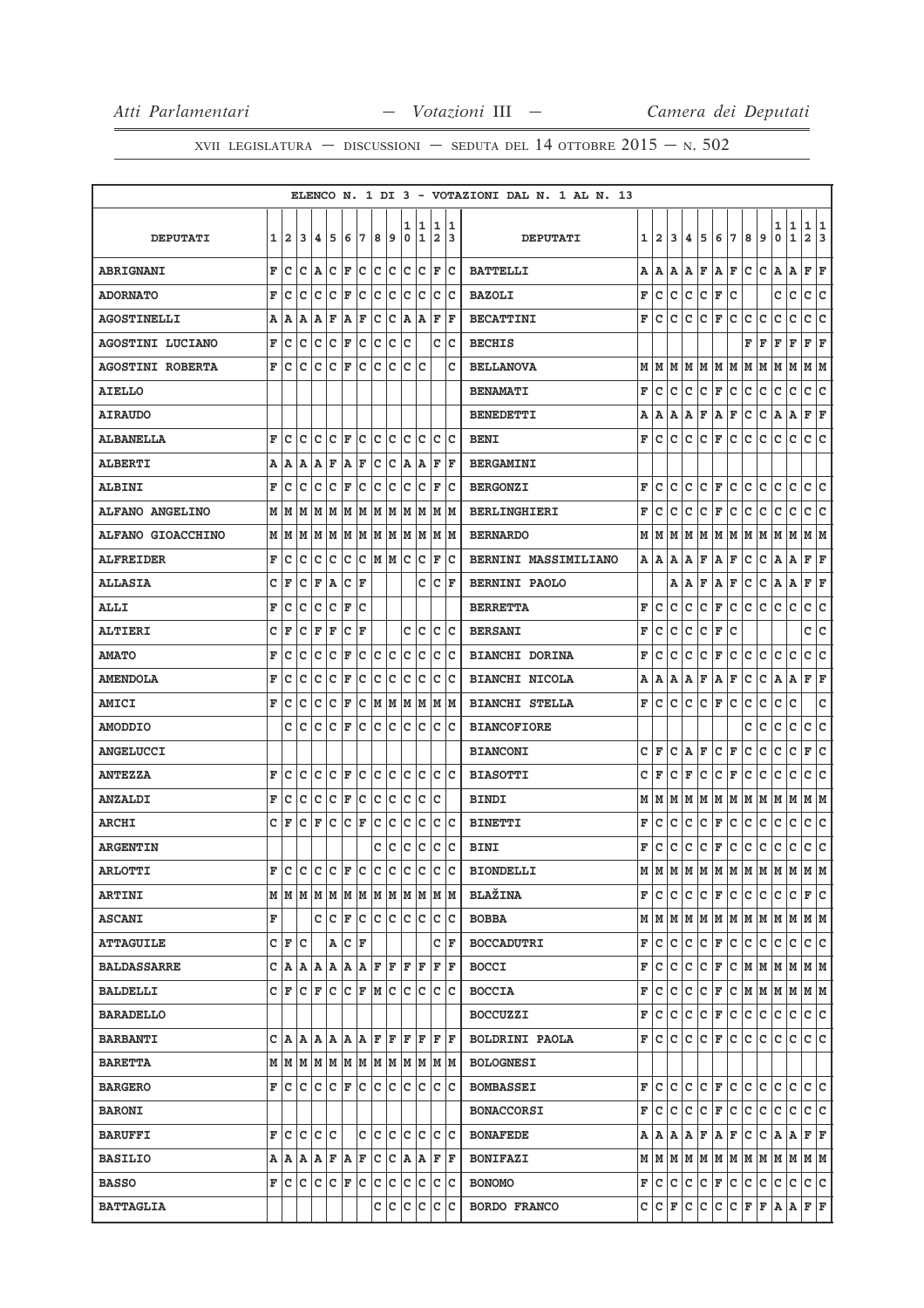|                          |   |                 |                     |     |                              |                      |   |     |     |        |                     |                                                                             |        | ELENCO N. 1 DI 3 - VOTAZIONI DAL N. 1 AL N. 13                                                                                                                                                                                                                                                                                                                                                                 |                         |                   |        |        |
|--------------------------|---|-----------------|---------------------|-----|------------------------------|----------------------|---|-----|-----|--------|---------------------|-----------------------------------------------------------------------------|--------|----------------------------------------------------------------------------------------------------------------------------------------------------------------------------------------------------------------------------------------------------------------------------------------------------------------------------------------------------------------------------------------------------------------|-------------------------|-------------------|--------|--------|
| <b>DEPUTATI</b>          | 1 | $\overline{a}$  | 3                   | 4   | 5                            | 6                    | 7 | 8   | 9   | 1<br>0 | 1<br>1              | 1<br>$\overline{\mathbf{2}}$                                                | 1<br>3 | 5<br>9<br><b>DEPUTATI</b><br>1<br>$\mathbf{2}$<br>3<br>4<br>6<br>7<br>8                                                                                                                                                                                                                                                                                                                                        | 1<br>0                  | 1<br>$\mathbf{1}$ | 1<br>2 | 1<br>3 |
| <b>ABRIGNANI</b>         | F | c               | с                   | A   | с                            | F                    | с | c   | Iс  | c      | lc.                 | F                                                                           | lc.    | c<br>F<br>F<br>с<br><b>BATTELLI</b><br>А<br>Α<br>Α<br>Α<br>Α                                                                                                                                                                                                                                                                                                                                                   | A                       | Α                 | F      | F      |
| <b>ADORNATO</b>          | F | с               | с                   | с   | с                            | F                    | с | c   | c   | c      | c                   | с                                                                           | Ιc     | F<br>с<br>с<br>с<br>с<br>F<br>с<br><b>BAZOLI</b>                                                                                                                                                                                                                                                                                                                                                               | c                       | с                 | с      | с      |
| <b>AGOSTINELLI</b>       | Α | А               | A                   | Α   | F                            | A                    | F | c   | c   | A      | A                   | F                                                                           | ΙF     | <b>BECATTINI</b><br>F<br>с<br>с<br>с<br>с<br>F<br>с<br>с<br>с                                                                                                                                                                                                                                                                                                                                                  | с                       | c                 | с      | c      |
| <b>AGOSTINI LUCIANO</b>  | F | c               | c                   | c   | c                            | F                    | c | c   | c   | c      |                     | c                                                                           | Ιc     | <b>BECHIS</b><br>F<br>F                                                                                                                                                                                                                                                                                                                                                                                        | F                       | F                 | F      | ΙF     |
| <b>AGOSTINI ROBERTA</b>  | F | Ιc              | c                   | c   | с                            | F                    | с | c   | c   | c      | c                   |                                                                             | c      | М<br>M<br>M<br>M<br>M<br>M M<br><b>BELLANOVA</b><br>M<br>M                                                                                                                                                                                                                                                                                                                                                     | M                       | M                 | M  M   |        |
| <b>AIELLO</b>            |   |                 |                     |     |                              |                      |   |     |     |        |                     |                                                                             |        | F<br>c<br>с<br>c<br>c<br>F<br>c<br>c<br>c<br><b>BENAMATI</b>                                                                                                                                                                                                                                                                                                                                                   | c                       | c                 | с      | c      |
| <b>AIRAUDO</b>           |   |                 |                     |     |                              |                      |   |     |     |        |                     |                                                                             |        | F<br>F<br>с<br>с<br><b>BENEDETTI</b><br>Α<br>Α<br>Α<br>Α<br>ΙA                                                                                                                                                                                                                                                                                                                                                 | Α                       | Α                 | F      | F      |
| <b>ALBANELLA</b>         | F | lc.             | c                   | c   | с                            | F                    | c | lc. | Iс  | с      | lc.                 |                                                                             | c c    | F<br>c<br>c<br>c<br>c<br>c<br>c<br>F<br>с<br><b>BENI</b>                                                                                                                                                                                                                                                                                                                                                       | с                       | c                 | c      | lc.    |
| <b>ALBERTI</b>           | A | А               | A                   | Α   | F                            | A                    | F | c   | c   | A      | Α                   | F                                                                           | F      | <b>BERGAMINI</b>                                                                                                                                                                                                                                                                                                                                                                                               |                         |                   |        |        |
| <b>ALBINI</b>            | F | с               | с                   | с   | с                            | F                    | с | C   | c   | c      | c                   | F                                                                           | Ιc     | F<br>c<br>с<br>с<br>с<br>F<br>с<br>с<br>с<br><b>BERGONZI</b>                                                                                                                                                                                                                                                                                                                                                   | с                       | с                 | c      | c      |
| <b>ALFANO ANGELINO</b>   | М | M               | M                   | M   | М                            | M                    | М | M   | M   | M      | M                   | M                                                                           | lм     | F<br>c<br>c<br>c<br>с<br>с<br>с<br>c<br>F<br><b>BERLINGHIERI</b>                                                                                                                                                                                                                                                                                                                                               | c                       | с                 | c      | c      |
| <b>ALFANO GIOACCHINO</b> | М | M               | M                   | M   | M                            | M                    |   |     |     |        |                     | M  M  M  M  M  M  M                                                         |        | <b>BERNARDO</b><br>М<br>M<br>M<br>lм<br>M<br>M<br>M<br>M<br>M                                                                                                                                                                                                                                                                                                                                                  | M                       | M                 | M  M   |        |
| <b>ALFREIDER</b>         | F | с               | с                   | c   | c                            | c                    | с |     | MMC |        | lc.                 | F                                                                           | Ιc     | BERNINI MASSIMILIANO<br>Α<br>A<br>Α<br>F<br>Α<br>F<br>с<br>с<br>Α                                                                                                                                                                                                                                                                                                                                              | Α                       | A                 | F      | F      |
| <b>ALLASIA</b>           | c | F               | с                   | F   | Α                            | с                    | F |     |     |        | c                   | c                                                                           | F      | с<br>с<br><b>BERNINI PAOLO</b><br>Α<br>Α<br>F<br>A<br>F                                                                                                                                                                                                                                                                                                                                                        | Α                       | Α                 | F      | F      |
| <b>ALLI</b>              | F | с               | с                   | c   | c                            | F                    | c |     |     |        |                     |                                                                             |        | F<br>с<br>c<br>с<br>с<br>F<br>с<br>с<br>с<br><b>BERRETTA</b>                                                                                                                                                                                                                                                                                                                                                   | с                       | c                 | с      | lc.    |
| <b>ALTIERI</b>           | c | F               | с                   | F   | F                            | c                    | F |     |     | c      | c                   | с                                                                           | Ιc     | F<br>с<br>с<br>с<br>с<br>F<br>с<br><b>BERSANI</b>                                                                                                                                                                                                                                                                                                                                                              |                         |                   | c      | с      |
| <b>AMATO</b>             | F | с               | с                   | c   | c                            | F                    | c | C   | c   | c      | c                   | c                                                                           | Ιc     | F<br>c<br>с<br>с<br>с<br>F<br>с<br>с<br>с<br><b>BIANCHI DORINA</b>                                                                                                                                                                                                                                                                                                                                             | с                       | c                 | c      | c      |
| <b>AMENDOLA</b>          | F | c               | с                   | c   | c                            | F                    | с | c   | c   | c      | c                   | c                                                                           | Ιc     | c<br>c<br>Α<br>F<br>A<br>F<br><b>BIANCHI NICOLA</b><br>Α<br>A<br>Α                                                                                                                                                                                                                                                                                                                                             | A                       | A                 | F      | F      |
| <b>AMICI</b>             | F | c               | c                   | c   | с                            | F                    | с | M   | M   |        | MM                  | lМ                                                                          | lм     | c<br>c<br>F<br><b>BIANCHI STELLA</b><br>F<br>c<br>c<br>с<br>с<br>с                                                                                                                                                                                                                                                                                                                                             | с                       | c                 |        | с      |
| <b>AMODDIO</b>           |   | c               | c                   | c   | c                            | F                    | c | c   | с   | Iс     | lc.                 | c                                                                           | Ιc     | с<br>с<br><b>BIANCOFIORE</b>                                                                                                                                                                                                                                                                                                                                                                                   | с                       | c                 | с      | c      |
| <b>ANGELUCCI</b>         |   |                 |                     |     |                              |                      |   |     |     |        |                     |                                                                             |        | c<br>F<br>c<br>с<br>с<br><b>BIANCONI</b><br>Α<br>F<br>с<br>F                                                                                                                                                                                                                                                                                                                                                   | с                       | с                 | F      | с      |
| <b>ANTEZZA</b>           | F | c               | c                   | c   | c                            | F                    | с | c   | с   | с      | Iс                  | c                                                                           | Ιc     | с<br>F<br>c<br>с<br>F<br>с<br><b>BIASOTTI</b><br>F<br>с<br>с                                                                                                                                                                                                                                                                                                                                                   | с                       | с                 | с      | Iс     |
| <b>ANZALDI</b>           | F | с               | с                   | c   | c                            | F                    | c | c   | c   | c      | c                   | c                                                                           |        | M<br>M<br>M<br>М<br>M<br>M<br>M<br>M<br><b>BINDI</b><br>М                                                                                                                                                                                                                                                                                                                                                      | M                       | M                 | М      | M      |
| <b>ARCHI</b>             | c | F               | c                   | F   | c                            | c                    | F | c   | c   | c      | c                   | c                                                                           | Ιc     | F<br>с<br>с<br>с<br>с<br>F<br>с<br>с<br>с<br><b>BINETTI</b>                                                                                                                                                                                                                                                                                                                                                    | с                       | c                 | c      | c      |
| <b>ARGENTIN</b>          |   |                 |                     |     |                              |                      |   | с   | c   | c      | c                   | с                                                                           | Ιc     | F<br>с<br>с<br>с<br>с<br>F<br>с<br>с<br>с<br><b>BINI</b>                                                                                                                                                                                                                                                                                                                                                       | с                       | с                 | c      | c      |
| <b>ARLOTTI</b>           | F | lc.             | c                   | c   | c                            | F                    | c | lc. | с   | Iс     | c                   | c                                                                           | lc.    | <b>BIONDELLI</b><br>М<br>M<br>M<br>M<br>M<br>M<br>M<br>M<br>M                                                                                                                                                                                                                                                                                                                                                  | M                       | M                 | M      | M      |
| <b>ARTINI</b>            |   |                 |                     |     |                              |                      |   |     |     |        |                     | $M$   $M$   $M$   $M$   $M$   $M$   $M$   $M$   $M$   $M$   $M$   $M$   $M$ |        | <b>BLAŽINA</b><br>с<br>c<br>$ C $ $\mathbf{F}$ $ C $<br> c c<br>F C                                                                                                                                                                                                                                                                                                                                            | $ C C $ $\mathbf{F} C $ |                   |        |        |
| <b>ASCANI</b>            | F |                 |                     | c   | lc.                          | F                    |   |     |     |        | lc lc lc lc lc      | lc.                                                                         | lc.    | $M$   $M$   $M$   $M$   $M$   $M$   $M$   $M$   $M$   $M$   $M$   $M$   $M$<br><b>BOBBA</b>                                                                                                                                                                                                                                                                                                                    |                         |                   |        |        |
| <b>ATTAGUILE</b>         | c | F               | lc.                 |     | Α                            | $ {\bf C}  {\bf F} $ |   |     |     |        |                     |                                                                             | C  F   | c c<br><b>BOCCADUTRI</b><br>F<br>с<br>с<br>с<br>c<br> F C                                                                                                                                                                                                                                                                                                                                                      | c c                     |                   | c c    |        |
| <b>BALDASSARRE</b>       | c | A               |                     |     |                              |                      |   |     |     |        | A A A A A F F F F   | F                                                                           | lF.    | F<br>c<br>$\mathbf C$<br>c<br>F<br>c.<br> м  м  м  м  м  м<br><b>BOCCI</b><br>с                                                                                                                                                                                                                                                                                                                                |                         |                   |        |        |
| <b>BALDELLI</b>          | C |                 | F C F C C F M C C C |     |                              |                      |   |     |     |        |                     |                                                                             | c c    | c<br> C F C M M M M M M<br>F<br>c<br>c<br><b>BOCCIA</b>                                                                                                                                                                                                                                                                                                                                                        |                         |                   |        |        |
| <b>BARADELLO</b>         |   |                 |                     |     |                              |                      |   |     |     |        |                     |                                                                             |        | c c <br>F<br>с<br>c<br>c.<br> F C<br>с<br><b>BOCCUZZI</b>                                                                                                                                                                                                                                                                                                                                                      | c c                     |                   | c c    |        |
| <b>BARBANTI</b>          | c | lA.             |                     |     |                              |                      |   |     |     |        | A A A A A F F F F F |                                                                             | F F    | FIC<br>lc.<br>c<br>lc.<br> F C<br>lc.<br>lc.<br><b>BOLDRINI PAOLA</b>                                                                                                                                                                                                                                                                                                                                          | lc.                     | lc.               | C C    |        |
| <b>BARETTA</b>           |   |                 |                     |     |                              |                      |   |     |     |        |                     | $M$   $M$   $M$   $M$   $M$   $M$   $M$   $M$   $M$   $M$   $M$   $M$       |        | <b>BOLOGNESI</b>                                                                                                                                                                                                                                                                                                                                                                                               |                         |                   |        |        |
| <b>BARGERO</b>           | F | lc.             | c                   | с   | $ {\tt C} \;  $ ${\tt F} \;$ |                      |   | c c | lc. | lc.    | с                   | с                                                                           | lc.    | F<br>c<br>с<br> F C<br>lc.<br>lc.<br>c<br>c<br><b>BOMBASSEI</b>                                                                                                                                                                                                                                                                                                                                                | IC.                     | lc.               | c c    |        |
| <b>BARONI</b>            |   |                 |                     |     |                              |                      |   |     |     |        |                     |                                                                             |        | c<br> F C<br>c.<br>lc.<br>F<br>c<br>С<br>с<br><b>BONACCORSI</b>                                                                                                                                                                                                                                                                                                                                                | lC.                     | lc.               | c c    |        |
| <b>BARUFFI</b>           | F | c               | c                   | c   | lc.                          |                      | c | lc. | c   |        | lc lc               |                                                                             | c c    | F A F<br>c<br>Α<br>A<br>ΙA.<br><b>BONAFEDE</b><br>A                                                                                                                                                                                                                                                                                                                                                            | C A A                   |                   | F F    |        |
| <b>BASILIO</b>           |   | A  A A  A F A F |                     |     |                              |                      |   |     |     |        |                     | C C A A F F                                                                 |        | $\textbf{M} \hspace{0.2mm} \hspace{0.9mm} \textbf{M} \hspace{0.2mm} \hspace{0.9mm} \textbf{M} \hspace{0.2mm} \hspace{0.9mm} \textbf{M} \hspace{0.2mm} \hspace{0.9mm} \textbf{M} \hspace{0.2mm} \hspace{0.9mm} \textbf{M} \hspace{0.2mm} \hspace{0.9mm} \textbf{M} \hspace{0.2mm} \hspace{0.9mm} \textbf{M} \hspace{0.2mm} \hspace{0.9mm} \textbf{M} \hspace{0.2mm} \hspace{0.9mm} \textbf{$<br><b>BONIFAZI</b> |                         |                   |        |        |
| <b>BASSO</b>             | F |                 | c c                 | lc. | C F                          |                      | c |     | c c |        |                     | c c c                                                                       | ∣c     | c.<br>F<br>c.<br>lc.<br>lc.<br> F C<br>c<br>IC.<br><b>BONOMO</b>                                                                                                                                                                                                                                                                                                                                               | c                       | lc.               | c c    |        |
| <b>BATTAGLIA</b>         |   |                 |                     |     |                              |                      |   | с   | с   | c      | c                   | $ {\bf c} $                                                                 | lc.    | C C F F A A F F<br>c.<br>c.<br><b>BORDO FRANCO</b><br>C C F                                                                                                                                                                                                                                                                                                                                                    |                         |                   |        |        |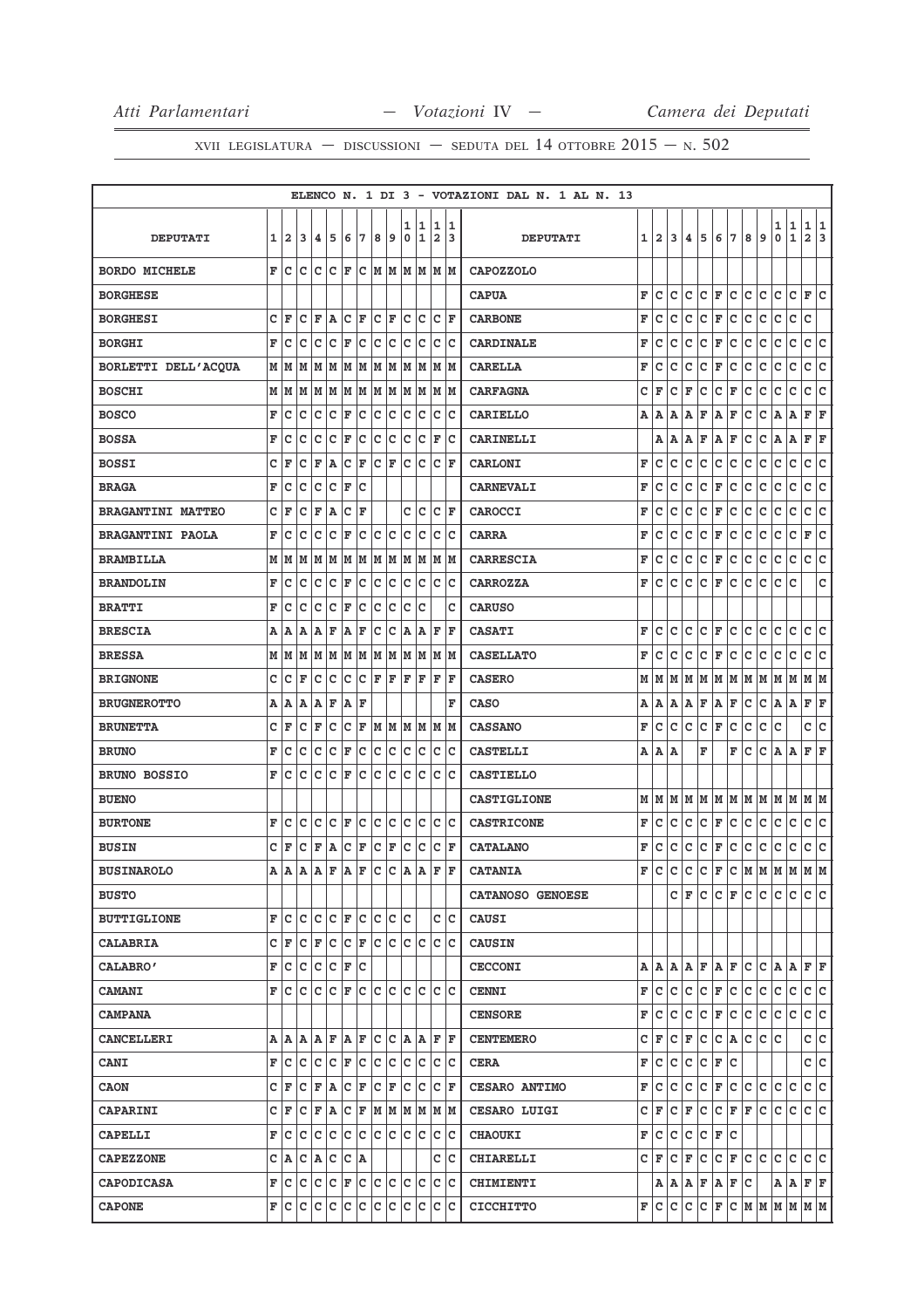|                          |   |                         |     |     |                      |                   |   |     |   |        |                         |                        |         | ELENCO N. 1 DI 3 - VOTAZIONI DAL N. 1 AL N. 13 |   |                           |   |   |              |             |                           |     |               |        |                   |                     |        |
|--------------------------|---|-------------------------|-----|-----|----------------------|-------------------|---|-----|---|--------|-------------------------|------------------------|---------|------------------------------------------------|---|---------------------------|---|---|--------------|-------------|---------------------------|-----|---------------|--------|-------------------|---------------------|--------|
| <b>DEPUTATI</b>          | 1 | $\overline{\mathbf{2}}$ | 3   | 4   | 5                    | 6                 | 7 | 8   | 9 | 1<br>0 | 1<br>1                  | 1<br>2                 | 1<br>13 | <b>DEPUTATI</b>                                | 1 | 2                         | 3 | 4 | 5            | 6           | 7                         | 8   | 9             | 1<br>0 | 1<br>$\mathbf{1}$ | 1<br>$\overline{a}$ | 1<br>3 |
| <b>BORDO MICHELE</b>     | F | Iс                      | c   | c   | c                    | F                 | c |     |   |        | M  M  M  M  M  M        |                        |         | <b>CAPOZZOLO</b>                               |   |                           |   |   |              |             |                           |     |               |        |                   |                     |        |
| <b>BORGHESE</b>          |   |                         |     |     |                      |                   |   |     |   |        |                         |                        |         | <b>CAPUA</b>                                   | F | c                         | c | с | с            | F           | C                         | c   | c             | c      | c                 | F                   | c      |
| <b>BORGHESI</b>          | C | F                       | c   | F   | A                    | с                 | F | c   | F | c      | Ιc                      | c                      | F       | <b>CARBONE</b>                                 | F | C                         | c | C | $\mathbf{C}$ | F           | C                         | c   | $\mathtt{C}$  | c      | $\mathtt{C}$      | C                   |        |
| <b>BORGHI</b>            | F | с                       | c   | c   | c                    | F                 | с | c   | c | c      | c                       | c                      | Ιc      | <b>CARDINALE</b>                               | F | с                         | с | с | с            | $\mathbf F$ | c                         | с   | c             | c      | c                 | c                   | c      |
| BORLETTI DELL'ACQUA      | М | M                       | M   | M   | М                    | M                 | M | M   | M | lМ     | lМ                      | lм                     | lм      | <b>CARELLA</b>                                 | F | c                         | c | c | с            | F           | c                         | c   | c             | c      | c                 | с                   | c      |
| <b>BOSCHI</b>            | М | M                       | M   | М   | M                    | M                 | М | M   | M |        | M M                     | M M                    |         | <b>CARFAGNA</b>                                | с | F                         | c | F | с            | с           | F                         | с   | c             | с      | c                 | c                   | lc.    |
| <b>BOSCO</b>             | F | с                       | с   | с   | с                    | F                 | с | c   | c | c      | c                       | с                      | Ιc      | <b>CARIELLO</b>                                | Α | Α                         | Α | Α | F            | A           | F                         | с   | с             | Α      | Α                 | F                   | F      |
| <b>BOSSA</b>             | F | с                       | с   | c   | c                    | F                 | c | c   | c | c      | c                       | F                      | Ιc      | <b>CARINELLI</b>                               |   | Α                         | A | Α | F            | Α           | F                         | с   | с             | A      | A                 | F                   | ΙF     |
| <b>BOSSI</b>             | C | F                       | c   | F   | Α                    | lc                | F | lc. | F | lc.    | lc                      | lc.                    | F       | <b>CARLONI</b>                                 | F | c                         | c | с | с            | c           | с                         | с   | c             | с      | $\mathtt{C}$      | c                   | lc.    |
| <b>BRAGA</b>             | F | с                       | с   | c   | c                    | F                 | c |     |   |        |                         |                        |         | <b>CARNEVALI</b>                               | F | c                         | c | с | с            | F           | с                         | с   | с             | с      | c                 | c                   | lc     |
| <b>BRAGANTINI MATTEO</b> | c | F                       | с   | F   | Α                    | c                 | F |     |   | c      | c                       | c                      | ١F      | CAROCCI                                        | F | с                         | с | с | с            | $\mathbf F$ | C                         | с   | c             | с      | c                 | с                   | lc.    |
| <b>BRAGANTINI PAOLA</b>  | F | c                       | c   | c   | c                    | F                 | c | c   | c | c      | c                       | c                      | Ιc      | <b>CARRA</b>                                   | F | c                         | c | с | с            | F           | с                         | с   | c             | с      | c                 | F                   | c      |
| <b>BRAMBILLA</b>         | М | M                       | M   | М   | M                    | M                 | М | M   | M |        | MM                      | M M                    |         | <b>CARRESCIA</b>                               | F | c                         | c | с | с            | F           | c                         | с   | с             | с      | c                 | c                   | lc.    |
| <b>BRANDOLIN</b>         | F | с                       | с   | c   | c                    | F                 | c | c   | c | c      | c                       | c                      | lc.     | <b>CARROZZA</b>                                | F | с                         | с | с | с            | F           | с                         | с   | с             | с      | с                 |                     | с      |
| <b>BRATTI</b>            | F | c                       | c   | c   | c                    | F                 | c | C   | c | c      | c                       |                        | c       | <b>CARUSO</b>                                  |   |                           |   |   |              |             |                           |     |               |        |                   |                     |        |
| <b>BRESCIA</b>           | Α | A                       | Α   | Α   | F                    | A                 | F | c   | c | A      | A                       | F                      | l F     | <b>CASATI</b>                                  | F | c                         | c | c | c            | F           | C                         | c   | c             | c      | c                 | c                   | lc.    |
| <b>BRESSA</b>            | М | M                       | M   | M   | M                    | M                 | М | M   | M |        | M  M  M  M              |                        |         | <b>CASELLATO</b>                               | F | c                         | c | c | с            | F           | с                         | c   | с             | с      | c                 | c                   | lc     |
| <b>BRIGNONE</b>          | c | c                       | F   | c   | с                    | c                 | c | F   | F | F      | F                       | F                      | lF      | <b>CASERO</b>                                  | M | М                         | M | M | M            | M           | M                         | M   | M             | M      | M                 | MM                  |        |
| <b>BRUGNEROTTO</b>       | Α | Α                       | А   | Α   | F                    | Α                 | F |     |   |        |                         |                        | F       | <b>CASO</b>                                    | Α | Α                         | Α | Α | F            | Α           | F                         | с   | с             | Α      | A                 | F                   | F      |
| <b>BRUNETTA</b>          | с | F                       | с   | F   | с                    | c                 | F | M M |   |        | M M M M                 |                        |         | <b>CASSANO</b>                                 | F | c                         | с | с | с            | F           | c                         | с   | с             | с      |                   | c                   | c      |
| <b>BRUNO</b>             | F | с                       | с   | c   | c                    | F                 | c | c   | c | c      | c                       | c                      | Iс      | <b>CASTELLI</b>                                | Α | Α                         | А |   | F            |             | F                         | с   | с             | A      | A                 | F                   | ΙF     |
| <b>BRUNO BOSSIO</b>      | F | c                       | c   | c   | C                    | F                 | c | c   | c | lc.    | lc                      | c                      | Ιc      | <b>CASTIELLO</b>                               |   |                           |   |   |              |             |                           |     |               |        |                   |                     |        |
| <b>BUENO</b>             |   |                         |     |     |                      |                   |   |     |   |        |                         |                        |         | <b>CASTIGLIONE</b>                             | М | M                         | M | M | M            |             | M M                       | M M |               | M M    |                   | M  M                |        |
| <b>BURTONE</b>           | F | с                       | с   | с   | c                    | F                 | с | c   | с | c      | Iс                      | c                      | Ιc      | <b>CASTRICONE</b>                              | F | c                         | с | с | с            | F           | c                         | с   | с             | с      | c                 | c                   | lc.    |
| <b>BUSIN</b>             | c | F                       | с   | F   | Α                    | c                 | F | c   | F | c      | c                       | c                      | F       | <b>CATALANO</b>                                | F | с                         | с | с | с            | $\mathbf F$ | с                         | с   | c             | с      | с                 | c                   | c      |
| <b>BUSINAROLO</b>        | A | A                       | Α   | Α   | $\mathbf F$          | A                 | F | c   | с | A      | Α                       | F                      | l F     | <b>CATANIA</b>                                 | F | c                         | c | c | c            | F           | c                         | M   | M             | M      | M                 | M                   | M      |
| <b>BUSTO</b>             |   |                         |     |     |                      |                   |   |     |   |        |                         |                        |         | <b>CATANOSO GENOESE</b>                        |   |                           | c | F | c            |             | C F                       | IC. | lc.           | IC.    | lc.               | c c                 |        |
| <b>BUTTIGLIONE</b>       | F | c                       | c   | c   | c                    | F                 | c | c   | с | lc.    |                         | c                      | Iс      | <b>CAUSI</b>                                   |   |                           |   |   |              |             |                           |     |               |        |                   |                     |        |
| <b>CALABRIA</b>          | c | F                       | lc. | F   | c                    | $ {\tt C} \,  $ F |   | c   | c | lc.    | ∣c                      | $ {\rm c}\, {\rm c}\,$ |         | <b>CAUSIN</b>                                  |   |                           |   |   |              |             |                           |     |               |        |                   |                     |        |
| <b>CALABRO'</b>          | F | с                       | c   | c   | $ {\bf C}  {\bf F} $ |                   | c |     |   |        |                         |                        |         | <b>CECCONI</b>                                 |   | A   A   A   B   F   A   F |   |   |              |             |                           | lc. | $ C $ a $ A $ |        |                   | $\bf F \,   \bf F$  |        |
| <b>CAMANI</b>            | F | lc.                     | c   | lc. | с                    | F                 | c | c c |   | lc.    | lc.                     | lc lc                  |         | <b>CENNI</b>                                   | F | c                         | c | c | c            | F           | Iс                        | c   | c             | с      | c                 | C C                 |        |
| <b>CAMPANA</b>           |   |                         |     |     |                      |                   |   |     |   |        |                         |                        |         | <b>CENSORE</b>                                 | F | с                         | c | c | c            | F           | lc.                       | c.  | c             | с      | lc.               | c c                 |        |
| <b>CANCELLERI</b>        | Α | ΙA                      | Α   | A   | F A                  |                   | F |     |   |        | C C A A                 | F                      | lF.     | <b>CENTEMERO</b>                               | с | F                         | с | F | с            | с           | A                         | С   | c             | lc.    |                   | c c                 |        |
| <b>CANI</b>              | F | с                       | c   | c   | с                    | F                 | c | с   | с |        | c c                     | c c                    |         | <b>CERA</b>                                    | F | с                         | с | с | c            | F           | Iс                        |     |               |        |                   | c c                 |        |
| <b>CAON</b>              | с | F                       | с   | F   | A                    | c                 | F | c   | F | Iс     | lc.                     | c                      | lF      | <b>CESARO ANTIMO</b>                           | F | с                         | c | с | c            | F           | c                         | c.  | с             | с      | с                 | c c                 |        |
| <b>CAPARINI</b>          | c | F                       | IС  | F A |                      | $ C $ F           |   |     |   |        | $M$ $M$ $M$ $M$ $M$ $M$ |                        |         | <b>CESARO LUIGI</b>                            | с | F                         | с | F | с            | c           | F F                       |     | lc.           | c.     | lc.               | c c                 |        |
| <b>CAPELLI</b>           | F | с                       | с   | с   | с                    | lc.               | c |     |   |        | c c c c                 | c                      | Iс      | <b>CHAOUKI</b>                                 | F | с                         | с | с | с            | F           | lc.                       |     |               |        |                   |                     |        |
| <b>CAPEZZONE</b>         | c | A                       | c   | A   | c                    | Iс                | Α |     |   |        |                         | c                      | ΙC      | <b>CHIARELLI</b>                               | c | F                         | c | F | c            |             | $ {\tt C}\, $ F           | lc. | lc.           | c      | c                 | c                   | lc     |
| <b>CAPODICASA</b>        | F |                         | C C | IC. |                      |                   |   |     |   |        | $ c _F c c c c c $      | c c                    |         | <b>CHIMIENTI</b>                               |   |                           |   |   |              |             | A   A   A   F   A   F   C |     |               | A A    |                   | F F                 |        |
| <b>CAPONE</b>            | F | с                       | с   | c   | c                    | c                 | c | c   | c | c      | c                       | c                      | Iс      | <b>CICCHITTO</b>                               | F | с                         | с | с | с            | F           | c                         | M M |               | M M    |                   | MM                  |        |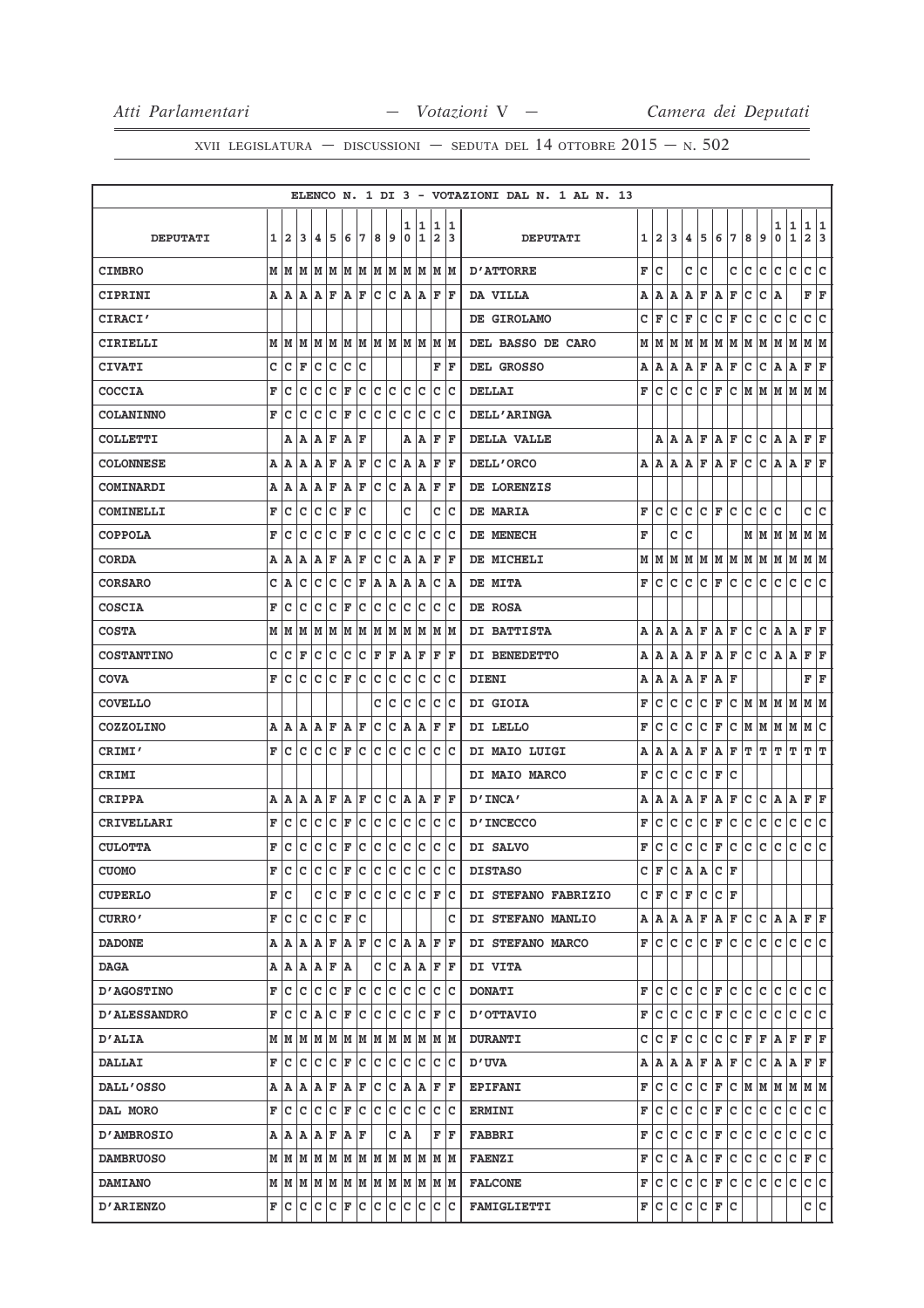|                     |   |              |                                                                               |     |             |                       |     |     |                                              |        |               |                |                                   | ELENCO N. 1 DI 3 - VOTAZIONI DAL N. 1 AL N. 13 |    |                |      |     |                    |                           |              |     |                                       |        |                  |                   |         |
|---------------------|---|--------------|-------------------------------------------------------------------------------|-----|-------------|-----------------------|-----|-----|----------------------------------------------|--------|---------------|----------------|-----------------------------------|------------------------------------------------|----|----------------|------|-----|--------------------|---------------------------|--------------|-----|---------------------------------------|--------|------------------|-------------------|---------|
| <b>DEPUTATI</b>     | 1 | $\mathbf{2}$ | 3                                                                             | 14. | 5           | 6                     | 7   | 8   | 9                                            | 1<br>0 | 11<br>1       | $\overline{a}$ | 1 1<br>13                         | <b>DEPUTATI</b>                                | 11 | $\overline{a}$ | 3    |     | 4 5                | 6                         | 17           | 8   | 9                                     | 1<br>0 | 1<br>$\mathbf 1$ | 1<br>$\mathbf{2}$ | 11<br>3 |
| <b>CIMBRO</b>       |   |              |                                                                               |     |             |                       |     |     |                                              |        |               |                |                                   | <b>D'ATTORRE</b>                               | F  | c              |      | c   | Iс                 |                           | c            | с   | c                                     | с      | c                | c c               |         |
| CIPRINI             |   |              | AAAAF                                                                         |     |             | $ {\bf A} $ ${\bf F}$ |     |     | c c                                          |        | $A \,   \, A$ | lF.            | ١F                                | DA VILLA                                       | А  | А              | A    | А   | F                  | A                         | F            | c   | c                                     | Α      |                  | FF                |         |
| CIRACI'             |   |              |                                                                               |     |             |                       |     |     |                                              |        |               |                |                                   | DE GIROLAMO                                    | с  | F              | c    | F   | с                  | c                         | F            | с   | с                                     | c      | с                | c                 | c       |
| CIRIELLI            |   |              |                                                                               |     |             |                       |     |     |                                              |        |               |                |                                   | DEL BASSO DE CARO                              |    | M   M          |      |     |                    |                           |              |     | M  M  M  M  M  M  M  M  M             |        |                  | M  M              |         |
| <b>CIVATI</b>       | c | с            | F                                                                             | Iс  | Iс          | Iс                    | с   |     |                                              |        |               | F              | F                                 | DEL GROSSO                                     | Α  | A              | А    | Α   | F                  | A                         | F            | с   | с                                     | A      | A                | F                 | F       |
| <b>COCCIA</b>       | F | Ιc           | c                                                                             | Iс  | lc          | F                     | c   | c   | Iс                                           | Iс     | Ιc            | c              | Iс                                | <b>DELLAI</b>                                  | F  | Iс             | c    | с   | Iс                 | F                         | ∣c∙          |     |                                       |        | M  M  M  M  M  M |                   |         |
| <b>COLANINNO</b>    | F | Ιc           | c                                                                             | Iс  | c           | F                     | c   | c   | Iс                                           | c      | c             | c              | Ιc                                | <b>DELL'ARINGA</b>                             |    |                |      |     |                    |                           |              |     |                                       |        |                  |                   |         |
| <b>COLLETTI</b>     |   |              | A   A                                                                         | ΙA. | F           | A                     | ΙF  |     |                                              |        | A A           | F              | ΙF                                | DELLA VALLE                                    |    | AA             |      | lA. | F                  | A F                       |              | c.  | c                                     | A.     | A                | F F               |         |
| <b>COLONNESE</b>    | Α | ١A           | ١A                                                                            | AF  |             | AF                    |     | lc. | Iс                                           | A      | lA.           | F              | ΙF                                | DELL'ORCO                                      | А  | ΙA.            | A    |     | A F                | A F                       |              | с   | lc.                                   | A A    |                  | F F               |         |
| COMINARDI           | Α | ١A           | A                                                                             | lA. | F           | ١A                    | F   | Iс  | Iс                                           | lA.    | lA.           | F              | lF.                               | DE LORENZIS                                    |    |                |      |     |                    |                           |              |     |                                       |        |                  |                   |         |
| <b>COMINELLI</b>    | F | Iс           | Ιc                                                                            | Iс  | c           | F                     | с   |     |                                              | c      |               | c              | Iс                                | DE MARIA                                       | F  | c              | lc.  | c   |                    | $ {\bf C}  {\bf F} $      | lc.          | c   | lc.                                   | c      |                  | c  c              |         |
| <b>COPPOLA</b>      | F | c            | c                                                                             | c   | c           | F                     | с   | с   | c                                            | c      | c             | с              | Iс                                | DE MENECH                                      | F  |                | c    | с   |                    |                           |              | м   | M                                     | MM     |                  | M  M              |         |
| <b>CORDA</b>        |   | A   A        | ۱A.                                                                           | ΙA. | F           | A                     | F   | c   | Iс                                           | ۱A.    | A             | F              | ΙF                                | DE MICHELI                                     |    | MMM            |      |     |                    | M  M  M  M                |              | M M |                                       | MM     |                  | M  M              |         |
| <b>CORSARO</b>      | c | A            | lc                                                                            | lc  | lc          | lc                    | F   | A   | A                                            | ۱A.    | A             | c              | A                                 | DE MITA                                        | F  | c              | c    | c   | c                  | F                         | c            | c   | c                                     | c      | c                | c                 | lc.     |
| <b>COSCIA</b>       | F | ١c           | c                                                                             | Ιc  | lc          | F                     | c   | c   | Iс                                           | c      | Ιc            | c              | Ιc                                | DE ROSA                                        |    |                |      |     |                    |                           |              |     |                                       |        |                  |                   |         |
| <b>COSTA</b>        |   |              | MMM                                                                           |     |             |                       |     |     | $\bf{M}$ $\bf{M}$ $\bf{M}$ $\bf{M}$ $\bf{M}$ |        | M M           |                | M  M                              | DI BATTISTA                                    | А  | ۱A.            | A    | А   | F                  | $A$ $F$                   |              | c   | c                                     | A A    |                  | F F               |         |
| <b>COSTANTINO</b>   | c | ١c           | ΙF                                                                            | lc  | Ιc          | Iс                    | lc. | F   | F                                            | lA.    | ΙF            | F              | lF.                               | DI BENEDETTO                                   | Α  | ۱A.            | A    | Α   | F                  | A                         | F            | c   | c                                     | A      | ۱A.              | F F               |         |
| <b>COVA</b>         | F | Iс           | lc.                                                                           | lc. | $ C $ F     |                       | lc. | lc. | Iс                                           | Iс     | Iс            | c              | Iс                                | <b>DIENI</b>                                   | Α  | A              | A    | Α   | F                  | A                         | F            |     |                                       |        |                  | FF                |         |
| <b>COVELLO</b>      |   |              |                                                                               |     |             |                       |     | с   | c                                            | c      | Ιc            | c              | Iс                                | DI GIOIA                                       | F  | c              | c    | c   | с                  | F                         | c            |     | M   M   M                             |        |                  | MM                |         |
| <b>COZZOLINO</b>    |   |              | A   A   A   A   F                                                             |     |             | A F                   |     | c   | c                                            |        | A   A         | F              | F                                 | DI LELLO                                       | F  | c              | c    | c   | c                  | F                         | c            |     | M  M  M  M                            |        |                  | M C               |         |
| CRIMI'              | F | lc.          | lc.                                                                           | lc  | lc.         | F                     | lc. | lc  | lc.                                          | lc.    | lc            | lc.            | lc                                | DI MAIO LUIGI                                  | А  | Α              | Α    | Α   | F                  | A                         | $\mathbf{F}$ | т   | ΙT                                    | т      | т                | т                 | ΙT      |
| CRIMI               |   |              |                                                                               |     |             |                       |     |     |                                              |        |               |                |                                   | DI MAIO MARCO                                  | F  | c              | c    | c   | c                  | F                         | с            |     |                                       |        |                  |                   |         |
| <b>CRIPPA</b>       |   | A   A        | ١A                                                                            | AF  |             | AF                    |     | lc. | Iс                                           |        | A A           | F              | ١F                                | D'INCA'                                        | А  | Α              | A    | Α   | F                  | Α                         | F            | c   | c                                     | A      | A                | F                 | F       |
| CRIVELLARI          | F | ١c           | c                                                                             | Iс  | c           | F                     | c   | c   | c                                            | c      | Ιc            | c              | ΙC                                | <b>D'INCECCO</b>                               | F  | c              | c    | с   | с                  | F                         | c            | c   | c                                     | c      | $\mathbf C$      | c                 | c       |
| <b>CULOTTA</b>      | F | Ιc           | c                                                                             | c   | c           | F                     | c   | c   | c                                            | lc.    | c             | c              | Iс                                | DI SALVO                                       | F  | с              | с    | с   | с                  | F                         | c            | c   | c                                     | c      | c                | с                 | c       |
| <b>CUOMO</b>        | F | ١c           | c                                                                             | c   | $ c _F c c$ |                       |     |     | c                                            | c      | Ιc            | c              | lc.                               | <b>DISTASO</b>                                 | c  | l F            | c    | A   | lA.                | c                         | F            |     |                                       |        |                  |                   |         |
| <b>CUPERLO</b>      |   | F∣C          |                                                                               |     |             |                       |     |     | c  c  F  c  c  c  c  c                       |        |               |                | F C                               | DI STEFANO FABRIZIO                            |    |                |      |     |                    | C F C F C C F             |              |     |                                       |        |                  |                   |         |
| <b>CURRO'</b>       |   |              | F C C C F C                                                                   |     |             |                       |     |     |                                              |        |               |                | с                                 | DI STEFANO MANLIO                              |    |                |      |     |                    |                           |              |     | A   A   A   F   A   F   C   C   A   A |        |                  | F F               |         |
| <b>DADONE</b>       |   |              | A  A A A F A F C C                                                            |     |             |                       |     |     |                                              |        | A   A         | F              | ١F                                | DI STEFANO MARCO                               |    | F IC.          | IC I |     |                    | $ C C $ $\mathbf{F} C $   |              | lc. | lc.                                   | lc.    | lc.              | lc lc             |         |
| <b>DAGA</b>         |   |              | A   A   A   A   F   A                                                         |     |             |                       |     |     | C C                                          |        | A  A          |                | F F                               | DI VITA                                        |    |                |      |     |                    |                           |              |     |                                       |        |                  |                   |         |
| <b>D'AGOSTINO</b>   |   |              | FCCCCCFCFCC                                                                   |     |             |                       |     |     |                                              | lc.    | Iс            | c              | ΙC                                | <b>DONATI</b>                                  | F  | c              | c    | c   | lc.                | F                         | lc.          | lc. | c                                     | c      | с                | lc Ic             |         |
| <b>D'ALESSANDRO</b> |   |              | F C C A C F C                                                                 |     |             |                       |     |     | c c                                          |        | c c           | F              | ΙC                                | <b>D'OTTAVIO</b>                               | F  | IC.            | l C  | c   | $ C $ $\mathbf{F}$ |                           | c            | c.  | с                                     | с      | С                | c c               |         |
| <b>D'ALIA</b>       |   |              | $M$ $ M$ $ M$ $ M$ $ M$ $ M$ $ M$ $ M$ $ M$                                   |     |             |                       |     |     |                                              |        | MM            |                | M M                               | <b>DURANTI</b>                                 | c  | с              | F    | с   | c                  | с                         | c            | F   | F                                     | A      | F                | F F               |         |
| <b>DALLAI</b>       |   |              | F C C C F C                                                                   |     |             |                       |     | c c |                                              |        | c c           | c              | ΙC                                | <b>D'UVA</b>                                   |    |                |      |     |                    | A   A   A   B   F   A   F |              | c.  | c                                     | A   A  |                  | F F               |         |
| <b>DALL'OSSO</b>    |   |              | AAAAFAFCC                                                                     |     |             |                       |     |     |                                              |        | A A           | F              | ١F                                | <b>EPIFANI</b>                                 | F  | IC.            | c    | c   | c.                 | F                         | lc.          |     |                                       |        | M  M  M  M  M  M |                   |         |
| DAL MORO            |   | F IC.        |                                                                               |     |             |                       |     |     |                                              | lc.    | Ιc            | с              | ΙC                                | <b>ERMINI</b>                                  | F  | c              | c    | с   | с                  | F                         | c            | с   | с                                     | с      | c                | C C               |         |
| <b>D'AMBROSIO</b>   |   |              | A   A   A   A   F   A   F                                                     |     |             |                       |     |     |                                              | C A    |               |                | $\mathbf{F} \parallel \mathbf{F}$ | <b>FABBRI</b>                                  | F  | c.             | c    | lc. | $ C $ $\mathbf{F}$ |                           | c            | c.  | c                                     | c      | lc.              | c c               |         |
| <b>DAMBRUOSO</b>    |   |              |                                                                               |     |             |                       |     |     |                                              |        |               |                |                                   | <b>FAENZI</b>                                  | F  | с              | c    | A   | c                  | F                         | c            | c   | c                                     | с      | с                | F C               |         |
| <b>DAMIANO</b>      |   |              |                                                                               |     |             |                       |     |     |                                              |        |               |                |                                   | <b>FALCONE</b>                                 |    | F C C          |      | ∣c. |                    | $C$ $F$ $C$               |              | C   | с                                     | с      | lc.              | c c               |         |
| <b>D'ARIENZO</b>    |   |              | $\mathbf{F}$ $\mathbf{C}$ $\mathbf{C}$ $\mathbf{C}$ $\mathbf{F}$ $\mathbf{C}$ |     |             |                       |     | Iс  | c                                            | c      | Iс            | c              | ∣c                                | <b>FAMIGLIETTI</b>                             |    | F C C          |      |     |                    | C C F C                   |              |     |                                       |        |                  | c c               |         |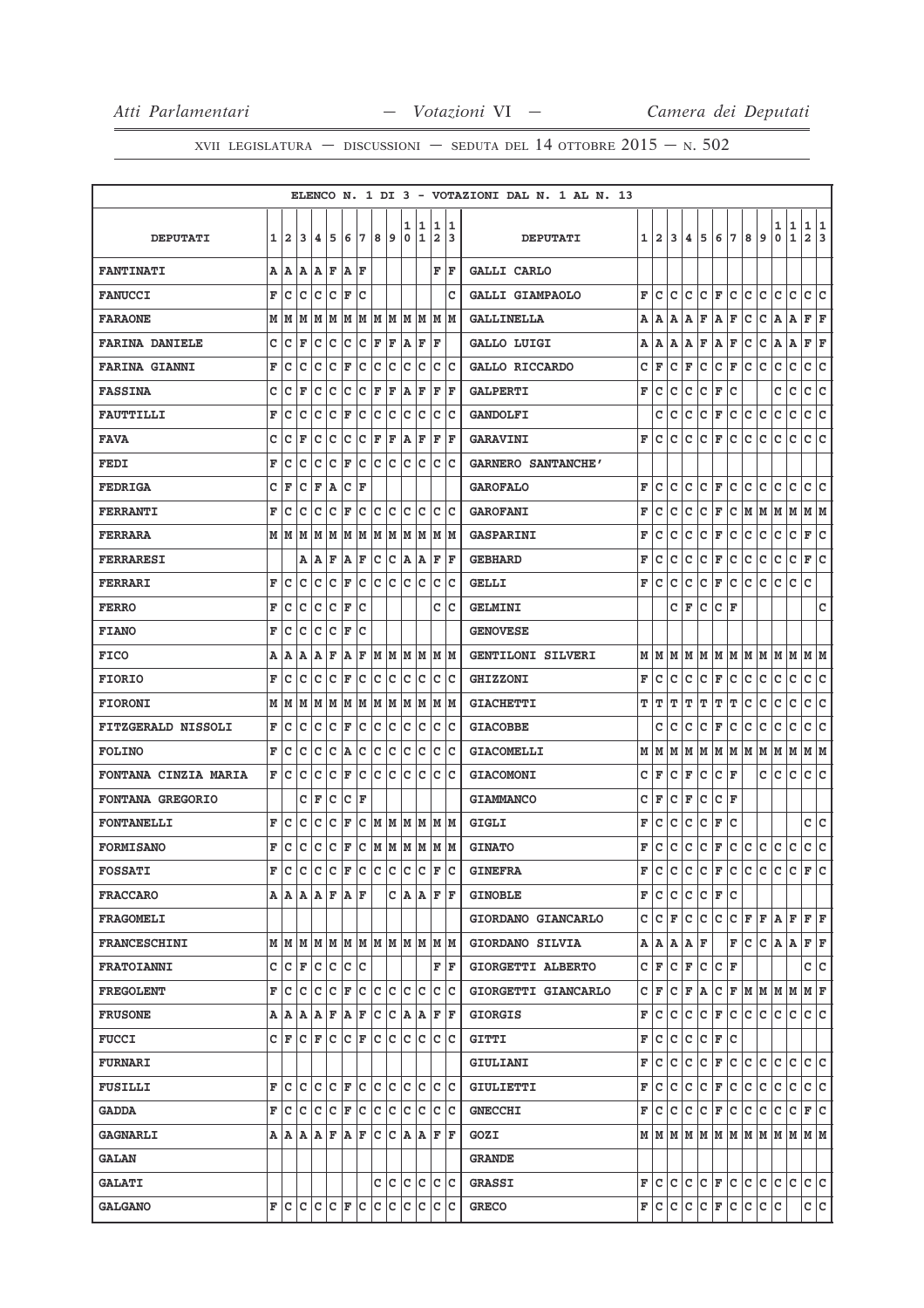|                             |   |       |     |                 |     |     |     |      |     |        |                   |                              |          | ELENCO N. 1 DI 3 - VOTAZIONI DAL N. 1 AL N. 13 |     |                   |     |                                   |               |                          |       |     |    |                                                                             |        |                     |        |
|-----------------------------|---|-------|-----|-----------------|-----|-----|-----|------|-----|--------|-------------------|------------------------------|----------|------------------------------------------------|-----|-------------------|-----|-----------------------------------|---------------|--------------------------|-------|-----|----|-----------------------------------------------------------------------------|--------|---------------------|--------|
| <b>DEPUTATI</b>             | 1 | 2     | 3   | 4               | 5   | 6   | 7   | 8    | 9   | 1<br>0 | 11<br>$\mathbf 1$ | 1<br>$\overline{\mathbf{2}}$ | 11<br>13 | <b>DEPUTATI</b>                                | 1   | $\mathbf{2}$      | 3   | 4                                 | 5             | 6                        | 7     | 8   | 9  | 1<br>0                                                                      | 1<br>1 | 1<br>$\overline{a}$ | 1<br>3 |
| <b>FANTINATI</b>            | А | ١A    | ۱A  | Α               | F   | A   | F   |      |     |        |                   | F                            | F        | <b>GALLI CARLO</b>                             |     |                   |     |                                   |               |                          |       |     |    |                                                                             |        |                     |        |
| <b>FANUCCI</b>              | F | c     | C   | c               | c   | F   | c   |      |     |        |                   |                              | c        | GALLI GIAMPAOLO                                | F   | c                 | c   | c                                 | c             | F                        | Iс    | с   | с  | с                                                                           | с      | c                   | c      |
| <b>FARAONE</b>              | M | м     | M   | М               | M   | M   | M   | M  M |     | M      | lм                | M                            | lм       | <b>GALLINELLA</b>                              | А   | ۱A.               |     | A   A                             | F             | A                        | F     | c   | c  | A                                                                           | Α      | F                   | ΙF     |
| <b>FARINA DANIELE</b>       | c | c     | F   | c               | c   | c   | c   | F    | F   | A      | F                 | F                            |          | GALLO LUIGI                                    | Α   | ΙA                | A   | A                                 | F             | A                        | F     | с   | c  | A                                                                           | Α      | F                   | F      |
| <b>FARINA GIANNI</b>        | F | c     | c   | c               | c   | F   | с   | c    | Ιc  | c      | Ιc                | c                            | ΙC       | GALLO RICCARDO                                 | c   | F                 | c   | ΙF                                | c             | c                        | lF.   | c   | c  | с                                                                           | c      | c                   | с      |
| <b>FASSINA</b>              | с | с     | F   | c               | c   | c   | c   | ΙF   | F   | A      | ΙF                | F                            | F        | <b>GALPERTI</b>                                | F   | с                 | с   | с                                 | c             | F                        | c     |     |    | с                                                                           | с      | c                   | c      |
| <b>FAUTTILLI</b>            | F | c     | c   | c               | c   | F   | с   | c    | c   | c      | c                 | c                            | Ιc       | <b>GANDOLFI</b>                                |     | c                 | c   | c                                 | с             | F                        | с     | с   | c  | с                                                                           | c      | c                   | c      |
| <b>FAVA</b>                 | с | с     | F   | с               | с   | Iс  | c   | F    | F   | A      | F                 | F                            | lF.      | <b>GARAVINI</b>                                | F   | c                 | c   | c                                 | с             | F                        | с     | с   | c  | с                                                                           | c      | с                   | c      |
| <b>FEDI</b>                 | F | c     | c   | c               | c   | F   | c   | c    | c   | c      | c                 | c                            | Ιc       | <b>GARNERO SANTANCHE'</b>                      |     |                   |     |                                   |               |                          |       |     |    |                                                                             |        |                     |        |
| <b>FEDRIGA</b>              | c | ΙF    | c   | F               | A   | c   | F   |      |     |        |                   |                              |          | <b>GAROFALO</b>                                | F   | c                 | c   | с                                 | c             | F                        | lc.   | с   | c  | с                                                                           | с      | c                   | c      |
| <b>FERRANTI</b>             | F | c     | с   | с               | c   | F   | c   | c    | Iс  | с      | Ιc                | c                            | Ιc       | <b>GAROFANI</b>                                | F   | с                 | с   | с                                 | с             | F                        | Iс    | MM  |    | MM                                                                          |        | M  M                |        |
| <b>FERRARA</b>              |   | MM    | lМ  | lМ              | M   | lм  | lМ  | M    | M   | M      | M                 | M                            | lМ       | <b>GASPARINI</b>                               | F   | c                 | c   | c                                 | c             | F                        | c     | с   | c  | с                                                                           | c      | F                   | с      |
| <b>FERRARESI</b>            |   |       | А   | ١A              | F   | A   | F   | c    | c   | ١A     | A                 | F                            | F        | <b>GEBHARD</b>                                 | F   | с                 | с   | с                                 | c             | F                        | c     | с   | c  | с                                                                           | c      | F                   | c      |
| <b>FERRARI</b>              | F | c     | c   | c               | c   | F   | с   | с    | c   | c      | c                 | с                            | Iс       | <b>GELLI</b>                                   | F   | c                 | с   | с                                 | с             | F                        | с     | с   | c  | c                                                                           | c      | c                   |        |
| <b>FERRO</b>                | F | с     | c   | с               | c   | F   | c   |      |     |        |                   | c                            | Iс       | <b>GELMINI</b>                                 |     |                   |     | C IF                              | с             | с                        | ΙF    |     |    |                                                                             |        |                     | с      |
| <b>FIANO</b>                | F | c     | c   | c               | c   | F   | C   |      |     |        |                   |                              |          | <b>GENOVESE</b>                                |     |                   |     |                                   |               |                          |       |     |    |                                                                             |        |                     |        |
| <b>FICO</b>                 | Α | ١A    | A   | ١A              | ΙF  | A   | F   | M  M |     |        | M  M              |                              | M M      | GENTILONI SILVERI                              |     |                   |     |                                   |               |                          |       |     |    |                                                                             |        |                     |        |
| <b>FIORIO</b>               | F | с     | с   | c               | c   | F   | с   | c    | Iс  | с      | Iс                | c                            | Iс       | <b>GHIZZONI</b>                                | F   | с                 | c   | c                                 | с             | F                        | Iс    | с   | с  | с                                                                           | с      | с                   | c      |
| <b>FIORONI</b>              | M | M     | M   | M               | lМ  | M   | M   | lм   | M   | M      | M                 | M                            | lм       | <b>GIACHETTI</b>                               | т   | т                 | т   | т                                 | т             | т                        | т     | c   | C  | c                                                                           | c      | c                   | C      |
| <b>FITZGERALD NISSOLI</b>   | F | c     | Iс  | Iс              | с   | F   | с   | Iс   | Iс  | Iс     | Iс                | c                            | Iс       | <b>GIACOBBE</b>                                |     | c                 | c   | c                                 | с             | F                        | c     | с   | с  | с                                                                           | c      | с                   | c      |
| <b>FOLINO</b>               | F | c     | с   | с               | c   | ΙA  | с   | c    | c   | с      | c                 | с                            | Iс       | <b>GIACOMELLI</b>                              | м   | M                 | lМ  | M                                 | M             | M  M                     |       | lМ  | M  | M                                                                           | M      | м                   | lМ     |
| <b>FONTANA CINZIA MARIA</b> | F | c     | c   | c               | c   | F   | c   | c    | Iс  | c      | Ιc                | c                            | Iс       | <b>GIACOMONI</b>                               | с   | F                 | с   | F                                 | с             | с                        | F     |     | c  | с                                                                           | c      | c                   | c      |
| FONTANA GREGORIO            |   |       | c   | F               | с   | c   | F   |      |     |        |                   |                              |          | <b>GIAMMANCO</b>                               | с   | F                 | с   | F                                 | с             | с                        | F     |     |    |                                                                             |        |                     |        |
| <b>FONTANELLI</b>           | F | c     | c   | c               | C   | F   | C   | M    | M   | lм     | M                 |                              | M M      | GIGLI                                          | F   | с                 | c   | c                                 | c             | F                        | c     |     |    |                                                                             |        | c                   | lc.    |
| <b>FORMISANO</b>            | F | c     | c   | c               | c   | F   | с   | lм   | M   | lм     | M                 |                              | M M      | <b>GINATO</b>                                  | F   | c                 | c   | c                                 | с             | F                        | c     | с   | c  | c                                                                           | c      | c                   | c      |
| <b>FOSSATI</b>              | F | c     | c   | Iс              | c   | F   | c   | Ιc   | Iс  | lc.    | Ιc                | F                            | Ιc       | <b>GINEFRA</b>                                 | F   | c                 | c   | c                                 | c             | F                        | c     | c   | c  | c                                                                           | c      | F                   | lc.    |
| <b>FRACCARO</b>             |   |       |     | A  A A  A F A F |     |     |     |      |     |        |                   | C A A F F                    |          | <b>GINOBLE</b>                                 |     | F C               | lc. | lc.                               |               | IC IF IC                 |       |     |    |                                                                             |        |                     |        |
| <b>FRAGOMELI</b>            |   |       |     |                 |     |     |     |      |     |        |                   |                              |          | GIORDANO GIANCARLO                             | c   | lc.               | lF. | с                                 | c             | c                        | C F F |     |    | A                                                                           | F      | F F                 |        |
| <b>FRANCESCHINI</b>         |   |       | MMM |                 | M M |     | MM  |      |     |        | MMMM              |                              | M  M     | GIORDANO SILVIA                                |     | A   A   A   A   F |     |                                   |               |                          | F     | lc. |    | $ C $ A $ A $                                                               |        | F F                 |        |
| <b>FRATOIANNI</b>           | C | lc    | l F | lc.             | c   | lc  | lc  |      |     |        |                   | F                            | ١F       | GIORGETTI ALBERTO                              | C F |                   | lc. | F                                 | c             | $ {\bf C}  {\bf F} $     |       |     |    |                                                                             |        | c                   | c      |
| <b>FREGOLENT</b>            | F | Iс    | c   | c               | Iс  | F   | c   | lc.  | c   | C      | Ιc                | c                            | Ιc       | GIORGETTI GIANCARLO                            |     | CF                |     | $ C $ $\mathbf{F}$ $  \mathbf{A}$ |               |                          |       |     |    | $C$ $F$ $M$ $M$ $M$                                                         |        | MF                  |        |
| <b>FRUSONE</b>              |   | A   A | lA. | A               | F   | AF  |     | c c  |     |        | A  A              |                              | F F      | <b>GIORGIS</b>                                 | F   | lc.               | lc. | lc.                               | c.            | F C                      |       | c c |    | c c                                                                         |        | c c                 |        |
| <b>FUCCI</b>                |   | CF    | c   | ΙF              | c   | lc. | ΙF  | Ιc   | lc  | lc.    | lc                |                              | c c      | <b>GITTI</b>                                   | F   | Iс                | с   | lc.                               |               | $ C $ F                  | Ιc    |     |    |                                                                             |        |                     |        |
| <b>FURNARI</b>              |   |       |     |                 |     |     |     |      |     |        |                   |                              |          | GIULIANI                                       | F   | lc.               | c.  | c.                                | $ c _F c c c$ |                          |       |     |    | lc.                                                                         | lc.    | c c                 |        |
| <b>FUSILLI</b>              | F | c     | c   | c               | c   | F   | c   | c    | lc  | c      | lc                | c                            | lc       | GIULIETTI                                      | F   | lc.               | с   | c                                 | c             | F                        | c     | c.  | Iс | с                                                                           | c      | c c                 |        |
| <b>GADDA</b>                | F | lc.   | lc  | Iс              | c   | F   | ∣c  | lc.  | Iс  | c      | Iс                |                              | c c      | <b>GNECCHI</b>                                 | F   | lc.               |     | c c                               |               | $ C $ $\mathbf{F}$ $ C $ |       | lc. | c  | с                                                                           | c      | F C                 |        |
| <b>GAGNARLI</b>             |   |       |     | A   A   A   F   |     | A   | lF. | lc   | lc  |        | A A               | F                            | ١F       | GOZI                                           |     |                   |     |                                   |               |                          |       |     |    | $M$   $M$   $M$   $M$   $M$   $M$   $M$   $M$   $M$   $M$   $M$   $M$   $M$ |        |                     |        |
| <b>GALAN</b>                |   |       |     |                 |     |     |     |      |     |        |                   |                              |          | <b>GRANDE</b>                                  |     |                   |     |                                   |               |                          |       |     |    |                                                                             |        |                     |        |
| <b>GALATI</b>               |   |       |     |                 |     |     |     |      | c c |        | lc lc             |                              | lc Ic    | <b>GRASSI</b>                                  |     | FIC               | lc. | lc.                               |               | $ C $ $\mathbf{F}$ $ C $ |       | c c |    | lc lc                                                                       |        | lc lc               |        |
| <b>GALGANO</b>              |   |       |     | F C C C F C     |     |     |     | lc.  | c   | Iс     | Iс                | lc.                          | lc.      | <b>GRECO</b>                                   |     | F∣C               | c   |                                   | C C F C       |                          |       | c c |    | Iс                                                                          |        | c c                 |        |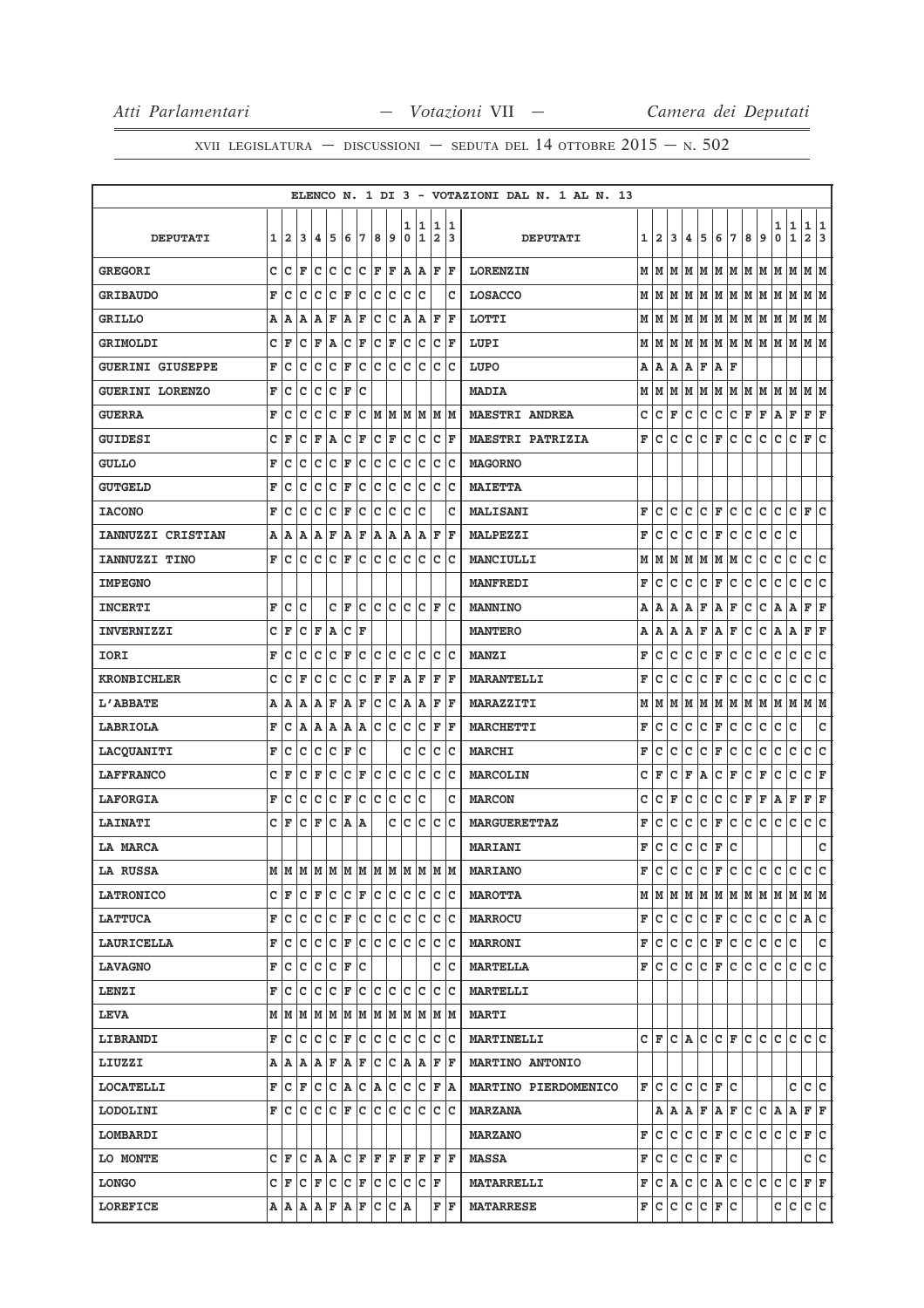|                         |   |    |     |    |             |   |     |     |     |             |                |      |     | ELENCO N. 1 DI 3 - VOTAZIONI DAL N. 1 AL N. 13 |   |                |   |     |                           |           |                 |                  |                |     |                 |              |     |
|-------------------------|---|----|-----|----|-------------|---|-----|-----|-----|-------------|----------------|------|-----|------------------------------------------------|---|----------------|---|-----|---------------------------|-----------|-----------------|------------------|----------------|-----|-----------------|--------------|-----|
|                         |   |    |     |    |             |   |     |     |     | 1           | 1              | 1    | 1   |                                                |   |                |   |     |                           |           |                 |                  |                | 1   | 1               | 1 1          |     |
| <b>DEPUTATI</b>         | 1 | 12 | 3   | 4  | 5           | 6 | 7   | 8   | 9   | $\pmb{0}$   | $\overline{1}$ | 2    | 3   | <b>DEPUTATI</b>                                |   | $1\vert 2$     | 3 | 4   | 5                         | 6         | 7               | 8                | 9              | 0   | $\mathbf{1}$    | $\mathbf{2}$ | 3   |
| <b>GREGORI</b>          | C | Ιc | ΙF  | c  | c           | c | c   | F   | F   | A           | A              | F    | F   | <b>LORENZIN</b>                                |   | MM             | M |     | M   M   M   M   M         |           |                 |                  |                | M   | lм              | M  M         |     |
| <b>GRIBAUDO</b>         | F | c  | C   | c  | C           | F | C   | c   | c   | c           | c              |      | c   | <b>LOSACCO</b>                                 | М | lм             | М | M   | М                         | M M       |                 | M                | M              | M   | M               | м∣м          |     |
| <b>GRILLO</b>           | Α | Α  | А   | Α  | F           | Α | F   | с   | c   | Α           | Α              | F    | F   | LOTTI                                          |   | M   M          |   |     | M  M  M  M  M  M  M  M  M |           |                 |                  |                |     |                 | M M          |     |
| <b>GRIMOLDI</b>         | c | F  | C   | F  | A           | c | F   | C   | F   | c           | c              | c    | F   | LUPI                                           | М | M              | М | M   | M                         | MM        |                 | M M              |                | M   | lм              | M M          |     |
| <b>GUERINI GIUSEPPE</b> | F | C  | C   | c  | C           | F | c   | c   | c   | c           | C              | c    | lc  | LUPO                                           | А | A              | A | A   | F                         | A         | F               |                  |                |     |                 |              |     |
| <b>GUERINI LORENZO</b>  | F | c  | C   | C  | C           | F | C   |     |     |             |                |      |     | <b>MADIA</b>                                   | М | M              |   |     | M  M  M                   |           |                 | M  M  M  M       |                | M   | lм              | M  M         |     |
| <b>GUERRA</b>           | F | c  | c   | с  | c           | F | c   | M   | M   | м           | M              | M  M |     | <b>MAESTRI ANDREA</b>                          | с | c              | F | c   | с                         | c         | lc.             | F                | F              | A   | $\mathbf F$     | F            | F   |
| <b>GUIDESI</b>          | c | F  | C   | F  | A           | c | F   | c   | F   | c           | c              | c    | F   | <b>MAESTRI PATRIZIA</b>                        | F | c              | c | с   | c                         | F         | Ιc              | с                | c              | c   | c               | F            | lc  |
| <b>GULLO</b>            | F | c  | c   | c  | c           | F | c   | c   | Iс  | с           | c              | c    | c   | <b>MAGORNO</b>                                 |   |                |   |     |                           |           |                 |                  |                |     |                 |              |     |
| <b>GUTGELD</b>          | F | c  | с   | c  | $\mathbf C$ | F | c   | c   | c   | c           | c              | c    | Iс  | <b>MAIETTA</b>                                 |   |                |   |     |                           |           |                 |                  |                |     |                 |              |     |
| <b>IACONO</b>           | F | c  | с   | с  | c           | F | c   | C   | c   | c           | c              |      | c   | MALISANI                                       | F | c              | с | с   | c                         | F         | c               | c                | c              | с   | c               | F            | Iс  |
| IANNUZZI CRISTIAN       | A | A  | A   | А  | F           | Α | F   | Α   | A   | Α           | Α              | F    | l F | <b>MALPEZZI</b>                                | F | c              | c | с   | c                         | F         | c               | c                | с              | c   | C               |              |     |
| IANNUZZI TINO           | F | c  | c   | C  | C           | F | lc  | lc  | lc. | c           | lc             | lc   | Ιc  | MANCIULLI                                      | М | M              | М | м   | M                         | M M       |                 | c                | c              | c   | c               | $\mathbf{C}$ | lc  |
| <b>IMPEGNO</b>          |   |    |     |    |             |   |     |     |     |             |                |      |     | <b>MANFREDI</b>                                | F | c              | c | с   | с                         | F         | c               | c                | с              | с   | c               | c            | c   |
| <b>INCERTI</b>          | F | c  | c   |    | C           | F | c   | c   | lc. | c           | lc.            | F    | Ιc  | <b>MANNINO</b>                                 | Α | Α              | А | А   | F                         | Α         | F               | c                | c              | A   | Α               | F F          |     |
| <b>INVERNIZZI</b>       | C | F  | с   | F  | A           | с | F   |     |     |             |                |      |     | <b>MANTERO</b>                                 | Α | А              | А | Α   | F                         | Α         | F               | c                | c              | Α   | Α               | F            | F   |
| IORI                    | F | с  | с   | с  | $\mathbf C$ | F | c   | c   | c   | c           | c              | c    | lc. | <b>MANZI</b>                                   | F | с              | с | с   | с                         | F         | с               | с                | с              | с   | с               | c            | c   |
| <b>KRONBICHLER</b>      | c | c  | F   | c  | c           | c | c   | F   | F   | A           | F              | F    | F   | <b>MARANTELLI</b>                              | F | с              | с | c   | с                         | F         | c               | с                | с              | с   | с               | с            | c   |
| <b>L'ABBATE</b>         | A | A  | A   | A  | F           | Α | F   | c   | c   | A           | A              | F    | F   | <b>MARAZZITI</b>                               | М | M              | м | м   | M                         |           | MM              | M                | M              | M   | M               | M  M         |     |
| LABRIOLA                | F | c  | Α   | A  | A           | A | A   | c   | Iс  | c           | c              | F    | F   | <b>MARCHETTI</b>                               | F | c              | c | c   | c                         | F         | c               | с                | c              | с   | с               |              | с   |
| LACQUANITI              | F | c  | c   | с  | c           | F | c   |     |     | c           | c              | с    | Ιc  | <b>MARCHI</b>                                  | F | C              | c | c   | c                         | F         | c               | c                | c              | с   | c               | c            | c   |
| <b>LAFFRANCO</b>        | с | F  | c   | F  | $\mathbf C$ | c | F   | c   | c   | $\mathbf C$ | c              | c    | Iс  | <b>MARCOLIN</b>                                | с | F              | с | F   | A                         | c         | F               | c                | F              | с   | с               | C F          |     |
| <b>LAFORGIA</b>         | F | c  | c   | c  | C           | F | C   | c   | Iс  | c           | c              |      | c   | <b>MARCON</b>                                  | c | c              | F | C   | c                         | c         | c               | F                | F              | Α   | $\mathbf F$     | F            | F   |
| <b>LAINATI</b>          | c | F  | с   | F  | c           | A | A   |     | c   | c           | c              | с    | Iс  | <b>MARGUERETTAZ</b>                            | F | с              | с | с   | с                         | F         | с               | с                | с              | с   | с               | c            | c   |
| <b>LA MARCA</b>         |   |    |     |    |             |   |     |     |     |             |                |      |     | <b>MARIANI</b>                                 | F | c              | с | с   | с                         | F         | c               |                  |                |     |                 |              | с   |
| <b>LA RUSSA</b>         | М | lм | M   | MM |             | M | M   | M   | M   | M           | M              | M M  |     | <b>MARIANO</b>                                 | F | c              | c | c   | C                         | F         | c               | c                | c.             | c   | $\mathbf{C}$    | c            | lc. |
| <b>LATRONICO</b>        | с | F  | c   | F  | с           | с | F   | Iс  | с   | с           | Iс             | c c  |     | <b>MAROTTA</b>                                 |   |                |   |     |                           |           |                 |                  |                |     | MMMMMMMMMMMMMMM |              |     |
| <b>LATTUCA</b>          | F | с  | с   | Iс | c           | F | lc. | c   | Iс  | Iс          | Iс             | c c  |     | <b>MARROCU</b>                                 | F | lc.            | c |     | C C F C C C               |           |                 |                  |                | lc. | IC IA IC        |              |     |
| <b>LAURICELLA</b>       | F | c  | Iс  | c  | c           | F | c   | c   | c   | ∣c∙         | c              | c c  |     | <b>MARRONI</b>                                 | F | c              |   | c c |                           |           |                 | $ C $ F $ C C C$ |                | c c |                 |              | c   |
| <b>LAVAGNO</b>          | F | c  | c   | с  | с           | F | c   |     |     |             |                | c    | Iс  | <b>MARTELLA</b>                                | F | lc.            | с | c   | IC.                       | F         | lc.             | с                | Iс             | c   | с               | c c          |     |
| <b>LENZI</b>            | F | с  | Iс  | с  | c           | F | c   | lc. | c   | c           | lc.            | c c  |     | <b>MARTELLI</b>                                |   |                |   |     |                           |           |                 |                  |                |     |                 |              |     |
| <b>LEVA</b>             | М | M  | M   | M  | M           | M | M   | M   | lм  | lм          | M              | M M  |     | <b>MARTI</b>                                   |   |                |   |     |                           |           |                 |                  |                |     |                 |              |     |
| <b>LIBRANDI</b>         | F | Iс | c   | с  | c           | F | c   | c   | Iс  | c           | c              | c    | Iс  | <b>MARTINELLI</b>                              |   |                |   |     | C F C A C C F C C C       |           |                 |                  |                |     | lc Ic Ic        |              |     |
| LIUZZI                  | Α | A  | ١A  | A  | F           | A | F   | с   | с   | ΙA.         | A              | F F  |     | <b>MARTINO ANTONIO</b>                         |   |                |   |     |                           |           |                 |                  |                |     |                 |              |     |
| <b>LOCATELLI</b>        | F | с  | F   | с  | c           | A | c   | A   | с   | c           | c              | F    | ١A  | MARTINO PIERDOMENICO                           |   | F∣C            | c | c   |                           | C F       | Ιc              |                  |                |     | c               | c            | c   |
| <b>LODOLINI</b>         | F | с  | c   | с  | lc.         | F | lc. | lc. | lc. | lc.         | lc.            | c c  |     | <b>MARZANA</b>                                 |   |                |   |     | A   A   A   F   A   F   C |           |                 |                  | $ C $ $\bf{A}$ |     | A               | F F          |     |
| LOMBARDI                |   |    |     |    |             |   |     |     |     |             |                |      |     | <b>MARZANO</b>                                 | F | с              | с | с   | с                         | F         | Iс              | с                | c              | с   | с               | F C          |     |
| LO MONTE                | c | F  | lc. | A  | A           | c | F   | F F |     |             | F F            | F  F |     | <b>MASSA</b>                                   | F | lc.            | c | c   |                           | $ c _F c$ |                 |                  |                |     |                 | c  c         |     |
| <b>LONGO</b>            | c | F  | Iс  | F  | c           | c | F   | c   | c   | c           | c              | F    |     | <b>MATARRELLI</b>                              | F | $ C $ $\bf{A}$ |   | c.  |                           |           | $ C $ a $ C C $ |                  | lc.            | с   | c               | F F          |     |
| <b>LOREFICE</b>         | Α | ΙA | A   | A  | F           | A | F   | c   | с   | ۱A          |                | F    | ΙF  | <b>MATARRESE</b>                               | F | lc.            | с | c   | c                         | F         | Iс              |                  |                | c   | с               | c c          |     |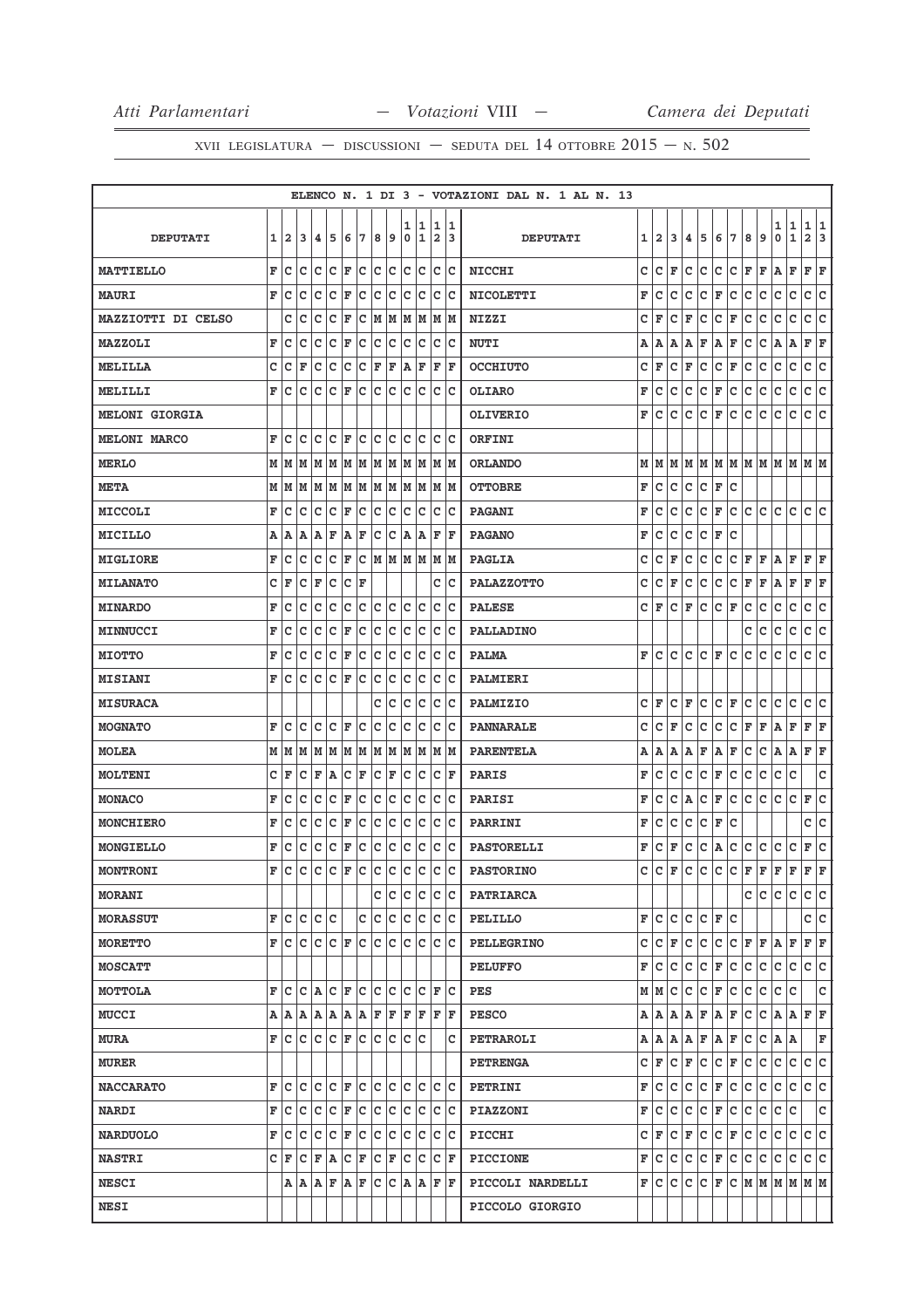|                       |   |     |       |     |     |     |            |     |     |     |                           |       |     | ELENCO N. 1 DI 3 - VOTAZIONI DAL N. 1 AL N. 13 |   |       |   |    |   |     |       |    |                           |     |              |                |     |
|-----------------------|---|-----|-------|-----|-----|-----|------------|-----|-----|-----|---------------------------|-------|-----|------------------------------------------------|---|-------|---|----|---|-----|-------|----|---------------------------|-----|--------------|----------------|-----|
|                       |   |     |       |     |     |     |            |     |     | 1   | 1                         | 1     | 1   |                                                |   |       |   |    |   |     |       |    |                           | 1   | 1            | 1              | 1   |
| <b>DEPUTATI</b>       | 1 | 2   | 3     | 4   | 5   | 6   | 7          | 8   | 9   | 0   | 1                         | 2     | 13  | <b>DEPUTATI</b>                                |   | 1   2 | 3 | 4  | 5 | 6   | 7     | 8  | 9                         | 0   | $\mathbf{1}$ | $\overline{a}$ | 3   |
| <b>MATTIELLO</b>      | F | Iс  | c     | c   | c   | F   | c          | c   | c   | c   | c                         | c     | Iс  | <b>NICCHI</b>                                  | c | c     | F | с  | с | c   | c     | F  | F                         | A   | F            | F              | F   |
| <b>MAURI</b>          | F | с   | с     | c   | c   | F   | c          | c   | c   | c   | c                         | c     | Ιc  | NICOLETTI                                      | F | с     | с | с  | с | F   | с     | с  | c                         | с   | с            | c              | c   |
| MAZZIOTTI DI CELSO    |   | c   | c     | c   | с   | F   | с          | M   | M   |     | M M M M                   |       |     | <b>NIZZI</b>                                   | c | F     | c | F  | c | с   | F     | c  | c                         | c   | c            | c              | c   |
| MAZZOLI               | F | с   | c     | с   | с   | F   | с          | c   | с   | Iс  | lc.                       | c     | Ιc  | <b>NUTI</b>                                    | Α | А     | Α | А  | F | Α   | F     | с  | с                         | Α   | Α            | F              | F   |
| <b>MELILLA</b>        | c | с   | F     | с   | с   | c   | с          | F   | F   | ΙA  | F                         | F     | F   | <b>OCCHIUTO</b>                                | c | F     | c | F  | с | с   | F     | с  | с                         | с   | с            | с              | с   |
| MELILLI               | F | с   | с     | c   | c   | F   | с          | lc. | с   | Iс  | lc.                       | c     | Ιc  | <b>OLIARO</b>                                  | F | c     | с | с  | с | F   | c     | с  | с                         | с   | c            | с              | lc. |
| <b>MELONI GIORGIA</b> |   |     |       |     |     |     |            |     |     |     |                           |       |     | <b>OLIVERIO</b>                                | F | c     | с | с  | с | F   | с     | с  | с                         | с   | с            | с              | с   |
| <b>MELONI MARCO</b>   | F | с   | c     | с   | c   | F   | с          | c   | с   | c   | lc.                       | c     | lc. | ORFINI                                         |   |       |   |    |   |     |       |    |                           |     |              |                |     |
| <b>MERLO</b>          | М | M   | М     | M   | M   | M   |            |     |     |     | M   M   M   M   M   M     |       |     | <b>ORLANDO</b>                                 | М | M     | M | M  |   |     |       |    | M  M  M  M  M  M  M  M  M |     |              |                |     |
| <b>META</b>           | М | IМ  | M     | M   |     |     |            |     |     |     | M  M  M  M  M  M  M  M  M |       |     | <b>OTTOBRE</b>                                 | F | с     | с | с  | с | F   | с     |    |                           |     |              |                |     |
| MICCOLI               | F | с   | с     | с   | с   | F   | с          | c   | c   | c   | c                         | c     | Ιc  | <b>PAGANI</b>                                  | F | с     | с | c  | с | F   | c     | с  | c                         | с   | c            | c              | lc  |
| MICILLO               | Α | А   | А     | А   | F   | Α   | F          | с   | c   | Α   | Α                         | F     | ΙF  | <b>PAGANO</b>                                  | F | c     | c | c  | с | F   | с     |    |                           |     |              |                |     |
| MIGLIORE              | F | с   | с     | c   | c   | F   | с          |     |     |     | M  M  M  M  M  M          |       |     | <b>PAGLIA</b>                                  | c | c     | F | с  | с | с   | с     | F  | F                         | A   | F            | F F            |     |
| <b>MILANATO</b>       | с | F   | с     | F   | с   | с   | F          |     |     |     |                           | c     | Ιc  | <b>PALAZZOTTO</b>                              | с | с     | F | с  | с | с   | с     | F  | F                         | Α   | F            | F              | F   |
| <b>MINARDO</b>        | F | с   | с     | c   | c   | c   | c          | c   | c   | c   | c                         | c     | Ιc  | <b>PALESE</b>                                  | с | F     | с | F  | с | c   | F     | с  | с                         | с   | с            | c              | c   |
| MINNUCCI              | F | с   | с     | c   | c   | F   | c          | c   | Iс  | Iс  | Ιc                        | c     | ΙC  | PALLADINO                                      |   |       |   |    |   |     |       | с  | с                         | с   | c            | c              | c   |
| <b>MIOTTO</b>         | F | с   | с     | с   | с   | F   | с          | c   | c   | c   | c                         | с     | Ιc  | <b>PALMA</b>                                   | F | c     | c | c  | с | F   | с     | с  | с                         | c   | с            | c              | lc. |
| <b>MISIANI</b>        | F | c   | c     | c   | c   | F   | c          | c   | c   | c   | c                         | c     | Ιc  | <b>PALMIERI</b>                                |   |       |   |    |   |     |       |    |                           |     |              |                |     |
| <b>MISURACA</b>       |   |     |       |     |     |     |            | c   | c   | c   | Iс                        | с     | Ιc  | PALMIZIO                                       | с | F     | c | F  | с | c   | F     | с  | с                         | с   | с            | с              | с   |
| <b>MOGNATO</b>        | F | Iс  | с     | c   | c   | F   | с          | c   | с   | c   | Iс                        | c     | Ιc  | <b>PANNARALE</b>                               | c | c     | F | с  | с | с   | с     | F  | F                         | A   | F            | F F            |     |
| <b>MOLEA</b>          | М | M   | M     | M   | M   | M   | M          | M   | M   | lм  |                           | M M M |     | <b>PARENTELA</b>                               | А | Α     | А | А  | F | Α   | F     | с  | с                         | A   | Α            | F              | F   |
| <b>MOLTENI</b>        | с | F   | с     | F   | A   | c   | F          | c   | F   | lc. | c                         | c     | F   | <b>PARIS</b>                                   | F | с     | с | с  | с | F   | с     | с  | с                         | с   | c            |                | с   |
| <b>MONACO</b>         | F | с   | с     | с   | с   | F   | с          | c   | c   | c   | c                         | c     | Ιc  | PARISI                                         | F | c     | с | Α  | с | F   | с     | c  | c                         | c   | c            | F              | C   |
| <b>MONCHIERO</b>      | F | с   | с     | с   | с   | F   | с          | c   | c   | c   | c                         | с     | Ιc  | PARRINI                                        | F | c     | c | с  | с | F   | с     |    |                           |     |              | c              | lc. |
| MONGIELLO             | F | с   | с     | c   | c   | F   | c          | c   | c   | c   | c                         | c     | Ιc  | <b>PASTORELLI</b>                              | F | с     | F | с  | с | Α   | C     | c  | c                         | с   | c            | F              | c   |
| <b>MONTRONI</b>       | F | Ιc  | c     | c   | c   | F   | c          | lc. | с   | Iс  | Ιc                        | c     | lc. | <b>PASTORINO</b>                               | C | c     | F | c  | c | c   | c     | F  | F                         | F   | F            | F              | F   |
| <b>MORANI</b>         |   |     |       |     |     |     |            | с   | c   | с   | Iс                        | c     | Iс  | <b>PATRIARCA</b>                               |   |       |   |    |   |     |       | c  | с                         | lC. | с            | c c            |     |
| <b>MORASSUT</b>       | F | с   | c     | c   | c   |     | с          | c   | c   | lc. | c                         | c     | Iс  | PELILLO                                        | F | с     | с | с  | c | F   | c     |    |                           |     |              | c              | c   |
| <b>MORETTO</b>        | F | с   | c     | c   | lc. | F   | c          | lc. | lc. | lc. | lc.                       | c     | Ιc  | <b>PELLEGRINO</b>                              | с | c     | F | c  | c | c   | C F F |    |                           | A   | F            | F F            |     |
| <b>MOSCATT</b>        |   |     |       |     |     |     |            |     |     |     |                           |       |     | <b>PELUFFO</b>                                 | F | с     | c | c  | c | F   | c     | c. | c                         | c   | c            | c c            |     |
| MOTTOLA               | F | lc. | c     | ΙA  | lc. | F C |            |     | c c | lc. | Ιc                        | lF.   | lc. | PES                                            | М | M     | c | c  | c | F   | Iс    | c  | c                         | с   | c            |                | c   |
| <b>MUCCI</b>          | Α | A   | A     |     |     |     | A  A  A  A |     |     |     | $F$ $F$ $F$ $F$           | lF.   | lF. | <b>PESCO</b>                                   | Α | A     | A | A  | F | A F |       | c. | c                         | A   | ΙA.          | F F            |     |
| <b>MURA</b>           | F | lc. | c     | lc. | c   | F   | c          | lc. | lc. | lc. | Ιc                        |       | c   | PETRAROLI                                      | Α | A     | A | ΙA | F | A   | F     | c  | c                         | A   | A            |                | F   |
| <b>MURER</b>          |   |     |       |     |     |     |            |     |     |     |                           |       |     | <b>PETRENGA</b>                                | с | F     | с | F  | c | c   | F     | c  | c                         | с   | c.           | c c            |     |
| <b>NACCARATO</b>      | F | c   | c     | c   | c   | F   | c          | lc. | с   | lc. | lc.                       | c     | lc. | PETRINI                                        | F | c     | с | c  | c | F   | c     | c  | c                         | c   | c            | c              | c   |
| <b>NARDI</b>          | F | с   | Iс    | c   | с   | F   | IС         |     | c c | с   | Iс                        | c     | Iс  | <b>PIAZZONI</b>                                | F | с     | с | с  | с | F   | c     | c. | с                         | с   | c            |                | lc. |
| <b>NARDUOLO</b>       | F | с   | с     | Iс  | c   | F   | c          | lc. | с   | Iс  | Iс                        | c     | Ιc  | PICCHI                                         | с | F     | c | F  | c | с   | F     | c  | c                         | с   | с            | c              | ∣c  |
| <b>NASTRI</b>         | C | F   | с     | F   | A   | c   | F          | lc. | F   | Iс  | Iс                        | c     | ١F  | <b>PICCIONE</b>                                | F | с     | c | c  | c | F   | c     | c  | c                         | с   | c            | c              | lc. |
| <b>NESCI</b>          |   |     | A   A | A   | F   | A   | F          | lc. | c   |     | A A                       | F     | ١F  | PICCOLI NARDELLI                               | F | c     | c | c  | c | F   | c.    |    | M   M   M   M   M         |     |              |                |     |
| <b>NESI</b>           |   |     |       |     |     |     |            |     |     |     |                           |       |     | PICCOLO GIORGIO                                |   |       |   |    |   |     |       |    |                           |     |              |                |     |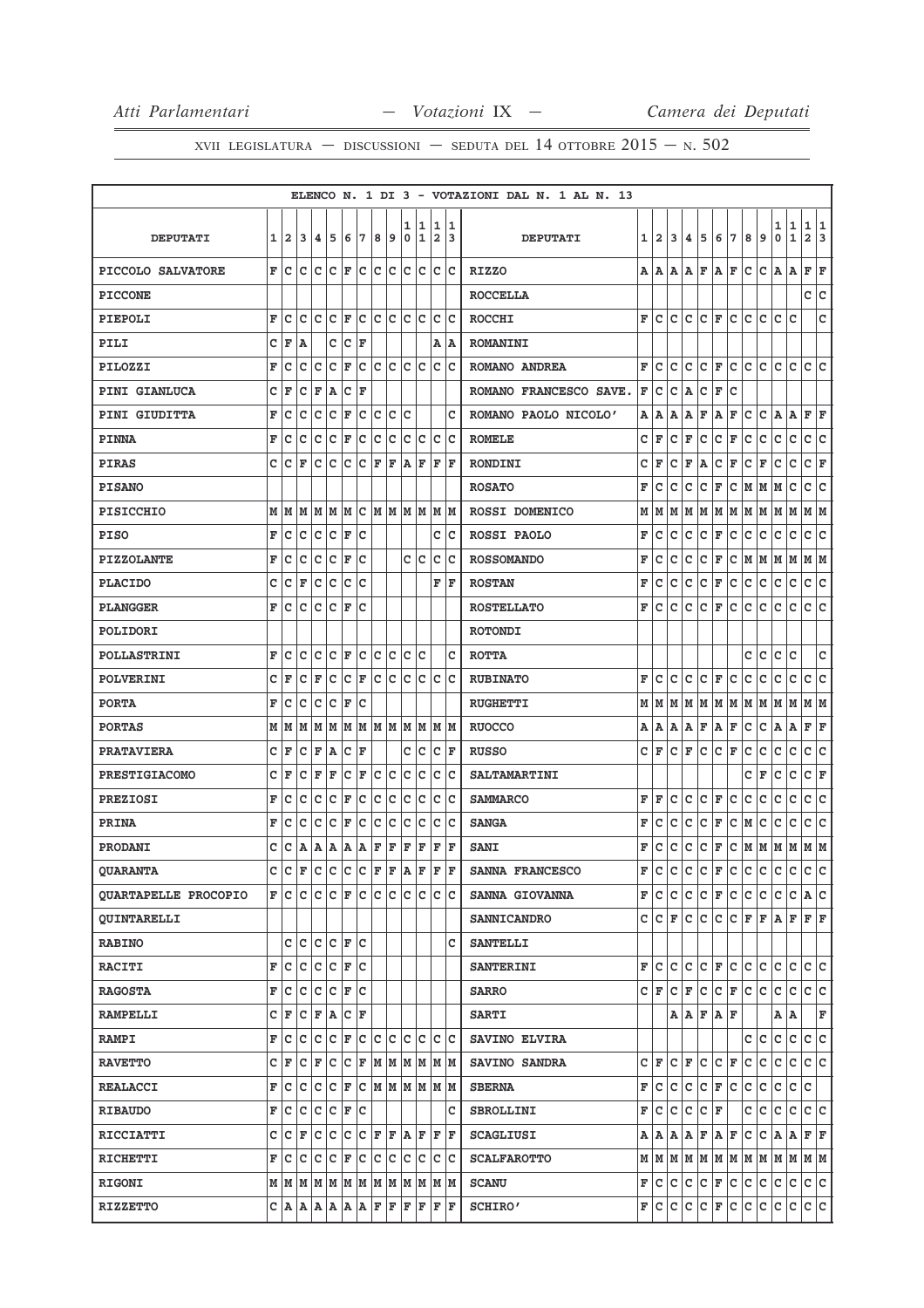|                             |   |              |   |     |                          |                   |   |     |           |        |        |                                                                             |        | ELENCO N. 1 DI 3 - VOTAZIONI DAL N. 1 AL N. 13 |   |              |    |                      |    |                          |           |     |    |                                                           |                   |                  |
|-----------------------------|---|--------------|---|-----|--------------------------|-------------------|---|-----|-----------|--------|--------|-----------------------------------------------------------------------------|--------|------------------------------------------------|---|--------------|----|----------------------|----|--------------------------|-----------|-----|----|-----------------------------------------------------------|-------------------|------------------|
| <b>DEPUTATI</b>             | 1 | $\mathbf{2}$ | 3 | 4   | 5                        | 6                 | 7 | 8   | 9         | 1<br>0 | 1<br>1 | 1<br>$\overline{a}$                                                         | 1<br>3 | <b>DEPUTATI</b>                                | 1 | $\mathbf{2}$ | 3  | 4                    | 5  | 6                        | 7         | 8   | 9  | 1<br>0                                                    | 1<br>$\mathbf{1}$ | 1<br>1<br>2<br>3 |
| PICCOLO SALVATORE           | F | c            | c | c   | c                        | F                 | c | c   | с         | lc.    | lc.    | c                                                                           | lc.    | <b>RIZZO</b>                                   | А | ΙA           | A  | A                    | F  | ΙA                       | F         | С   | с  | A                                                         | ΙA                | F<br>F           |
| <b>PICCONE</b>              |   |              |   |     |                          |                   |   |     |           |        |        |                                                                             |        | <b>ROCCELLA</b>                                |   |              |    |                      |    |                          |           |     |    |                                                           |                   | c<br>c           |
| PIEPOLI                     | F | Iс           | c | с   | c                        | F                 | c | c   | с         | Iс     | lc.    | c                                                                           | Ιc     | <b>ROCCHI</b>                                  | F | c            | с  | с                    | c  | F                        | c         | с   | c  | c                                                         | c                 | C                |
| PILI                        | C | F            | A |     | c                        | Ιc                | F |     |           |        |        | Α                                                                           | ١A     | <b>ROMANINI</b>                                |   |              |    |                      |    |                          |           |     |    |                                                           |                   |                  |
| PILOZZI                     | F | c            | с | c   | c                        | F                 | с | c   | lc.       | c      | Iс     | с                                                                           | Ιc     | ROMANO ANDREA                                  | F | c            | c  | c                    | с  | F                        | c         | lc. | c  | c                                                         | c                 | c<br>lc          |
| <b>PINI GIANLUCA</b>        | с | F            | с | F   | Α                        | с                 | F |     |           |        |        |                                                                             |        | ROMANO FRANCESCO SAVE.                         | F | с            | c  | Α                    | с  | F                        | c         |     |    |                                                           |                   |                  |
| PINI GIUDITTA               | F | с            | c | с   | с                        | F                 | с | с   | c         | c      |        |                                                                             | c      | ROMANO PAOLO NICOLO'                           | Α | A            | A  | Α                    | F  | A                        | F         | с   | с  | A                                                         | A                 | F<br>ΙF          |
| <b>PINNA</b>                | F | с            | c | c   | c                        | F                 | с | c   | с         | Iс     | Iс     | с                                                                           | Iс     | <b>ROMELE</b>                                  | с | F            | c  | F                    | с  | с                        | F         | с   | с  | с                                                         | c                 | c<br>c           |
| <b>PIRAS</b>                | c | c            | F | с   | с                        | c                 | с | F   | F         | A      | F      | F                                                                           | F      | <b>RONDINI</b>                                 | с | F            | с  | F                    | Α  | с                        | F         | с   | F  | с                                                         | с                 | с<br>F           |
| <b>PISANO</b>               |   |              |   |     |                          |                   |   |     |           |        |        |                                                                             |        | <b>ROSATO</b>                                  | F | c            | с  | с                    | с  | F                        | с         | M   | M  | M                                                         | с                 | c<br>c           |
| <b>PISICCHIO</b>            | М | M            | M | M   | M                        | M                 | c |     |           |        |        | M  M  M  M  M  M                                                            |        | <b>ROSSI DOMENICO</b>                          | М | м            | lМ | M                    | М  | M                        | M         | M   | M  | M                                                         | M                 | M   M            |
| <b>PISO</b>                 | F | Iс           | с | c   | c                        | F                 | c |     |           |        |        | c                                                                           | Ιc     | ROSSI PAOLO                                    | F | c            | c  | с                    | с  | F                        | с         | с   | с  | с                                                         | с                 | с<br>Ιc          |
| <b>PIZZOLANTE</b>           | F | с            | с | c   | с                        | F                 | c |     |           | c      | Ιc     | c                                                                           | Ιc     | <b>ROSSOMANDO</b>                              | F | c            | с  | с                    | с  | F                        | с         | M   | M  | M M                                                       |                   | M  M             |
| <b>PLACIDO</b>              | с | с            | F | с   | с                        | c                 | c |     |           |        |        | F                                                                           | F      | <b>ROSTAN</b>                                  | F | c            | c  | c                    | с  | F                        | с         | с   | с  | с                                                         | с                 | с<br>Iс          |
| <b>PLANGGER</b>             | F | с            | с | c   | c                        | F                 | c |     |           |        |        |                                                                             |        | <b>ROSTELLATO</b>                              | F | c            | c  | с                    | с  | F                        | с         | с   | с  | с                                                         | c                 | lc.<br>с         |
| <b>POLIDORI</b>             |   |              |   |     |                          |                   |   |     |           |        |        |                                                                             |        | <b>ROTONDI</b>                                 |   |              |    |                      |    |                          |           |     |    |                                                           |                   |                  |
| <b>POLLASTRINI</b>          | F | c            | c | c   | c                        | F                 | c | c   | Iс        | c      | c      |                                                                             | c      | <b>ROTTA</b>                                   |   |              |    |                      |    |                          |           | с   | с  | с                                                         | c                 | C                |
| <b>POLVERINI</b>            | c | F            | с | F   | с                        | c                 | F | lc. | Iс        | Iс     | lc.    | lc.                                                                         | lc     | <b>RUBINATO</b>                                | F | c            | c  | с                    | с  | F                        | C         | c   | с  | c                                                         | с                 | с<br>c           |
| <b>PORTA</b>                | F | c            | c | с   | с                        | F                 | с |     |           |        |        |                                                                             |        | <b>RUGHETTI</b>                                | М | M            | M  | lм                   | lМ | M                        | M         | M   | M  | M                                                         | M                 | M<br>IМ          |
| <b>PORTAS</b>               | М | M            | M | M   |                          |                   |   |     |           |        |        | M  M  M  M  M  M  M  M                                                      |        | <b>RUOCCO</b>                                  | А | A            | A  | A                    | F  | A                        | F         | с   | с  | A                                                         | A                 | F<br>F           |
| <b>PRATAVIERA</b>           | c | F            | с | F   | Α                        | с                 | F |     |           | c      | c      | с                                                                           | F      | <b>RUSSO</b>                                   | c | F            | c  | F                    | с  | с                        | F         | с   | с  | с                                                         | с                 | с<br>с           |
| <b>PRESTIGIACOMO</b>        | с | F            | с | F   | F                        | с                 | F | c   | c         | c      | Iс     | c                                                                           | Ιc     | <b>SALTAMARTINI</b>                            |   |              |    |                      |    |                          |           | с   | F  | с                                                         | с                 | C F              |
| <b>PREZIOSI</b>             | F | с            | с | с   | c                        | F                 | с | c   | c         | c      | c      | с                                                                           | Ιc     | <b>SAMMARCO</b>                                | F | F            | c  | с                    | с  | F                        | с         | с   | с  | с                                                         | с                 | с<br>с           |
| PRINA                       | F | с            | с | c   | c                        | F                 | c | c   | c         | c      | c      | C                                                                           | Ιc     | <b>SANGA</b>                                   | F | с            | с  | с                    | с  | F                        | c         | M   | с  | с                                                         | с                 | c<br>c           |
| <b>PRODANI</b>              | c | с            | A | A   | Α                        | A                 | Α | F   | F         | F      | F      | F                                                                           | F      | <b>SANI</b>                                    | F | c            | с  | с                    | с  | F                        | с         | M   | M  | M                                                         | M                 | M  M             |
| <b>OUARANTA</b>             | C | Ιc           | F | c   | c                        | Iс                | c | F   | F         | A      | F      | F                                                                           | F      | SANNA FRANCESCO                                | F | c            | c  | c                    | c  | F                        | c         | c   | c  | c                                                         | c                 | c<br>lc.         |
| <b>QUARTAPELLE PROCOPIO</b> | F | C            | с | lc. |                          |                   |   |     |           |        |        | C  F  C  C  C  C  C  C  C                                                   |        | SANNA GIOVANNA                                 | F | lc.          | c  | c                    | c. | F C                      |           | c   | c. |                                                           |                   | C C A C          |
| <b>QUINTARELLI</b>          |   |              |   |     |                          |                   |   |     |           |        |        |                                                                             |        | <b>SANNICANDRO</b>                             | c | lc.          | F  | c                    | c  | c                        |           |     |    |                                                           |                   | C F F A F F F    |
| <b>RABINO</b>               |   | c            | c |     | C C F C                  |                   |   |     |           |        |        |                                                                             | c      | <b>SANTELLI</b>                                |   |              |    |                      |    |                          |           |     |    |                                                           |                   |                  |
| <b>RACITI</b>               | F | с            | c | c   | c                        | F                 | c |     |           |        |        |                                                                             |        | <b>SANTERINI</b>                               | F | c            | c  | c                    |    | $ C $ $\mathbf{F}$ $ C $ |           | c.  | ∣c | c                                                         | с                 | c c              |
| <b>RAGOSTA</b>              | F | Iс           | c | c   | $ C $ $\mathbf{F}$ $ C $ |                   |   |     |           |        |        |                                                                             |        | <b>SARRO</b>                                   |   | CF           | с  | F                    | c. |                          | $ c _F c$ |     | c. | c                                                         | с                 | c c              |
| <b>RAMPELLI</b>             | с | F            | c | F A |                          | $ {\tt C} \,  $ F |   |     |           |        |        |                                                                             |        | <b>SARTI</b>                                   |   |              |    | A A                  |    | F A F                    |           |     |    | A   A                                                     |                   | F                |
| <b>RAMPI</b>                | F | с            | с | c   | c                        | F                 | c | c c |           | lc.    | lc.    |                                                                             | lc lc  | SAVINO ELVIRA                                  |   |              |    |                      |    |                          |           | c   | c  | с                                                         | с                 | lc.<br>c         |
| <b>RAVETTO</b>              | с | F            | c | F   | c                        | c                 | F |     |           |        |        | $M$ $M$ $M$ $M$ $M$ $M$                                                     |        | SAVINO SANDRA                                  |   | CF           |    | $ {\bf C}  {\bf F} $ | c. | $ {\tt C}  {\tt F} $     |           | c.  | c  | c                                                         | lc.               | c c              |
| <b>REALACCI</b>             | F | с            | c | c   | c                        | F                 |   |     |           |        |        | С  М  М  М  М  М  М                                                         |        | <b>SBERNA</b>                                  | F | с            | с  | c                    | с  | F                        | Iс        | c   | c  | с                                                         | с                 | с                |
| <b>RIBAUDO</b>              | F | с            | c | c   | c                        | F                 | c |     |           |        |        |                                                                             | c      | <b>SBROLLINI</b>                               | F | с            | с  | c                    |    | C F                      |           | c   | c  | с                                                         | c                 | c c              |
| <b>RICCIATTI</b>            | с | с            | F | c   | c                        | c                 |   |     | C F F A F |        |        | lF.                                                                         | lF.    | <b>SCAGLIUSI</b>                               | Α | A            | A  | A                    | F  | A F                      |           | c.  | c. | $A \,   \, A$                                             |                   | F F              |
| <b>RICHETTI</b>             | F | Iс           | c | c   | lc.                      | F                 | c | c c |           |        | c c    |                                                                             | c c    | <b>SCALFAROTTO</b>                             |   |              |    |                      |    |                          |           |     |    | $M$   $M$   $M$   $M$   $M$   $M$   $M$   $M$   $M$   $M$ |                   | M M              |
| <b>RIGONI</b>               |   |              |   |     |                          |                   |   |     |           |        |        | $M$   $M$   $M$   $M$   $M$   $M$   $M$   $M$   $M$   $M$   $M$   $M$   $M$ |        | <b>SCANU</b>                                   | F | c            | c  | c                    | c  | F                        | c         | c.  | c  | c                                                         | c                 | c c              |
| <b>RIZZETTO</b>             | с | A            | A | A   | A                        | A                 | Α | F   | F         | F      | F      | F                                                                           | lF.    | <b>SCHIRO'</b>                                 | F | c            | c  | c                    | c  | F                        | c         | c.  | c  | c                                                         | c                 | c c              |